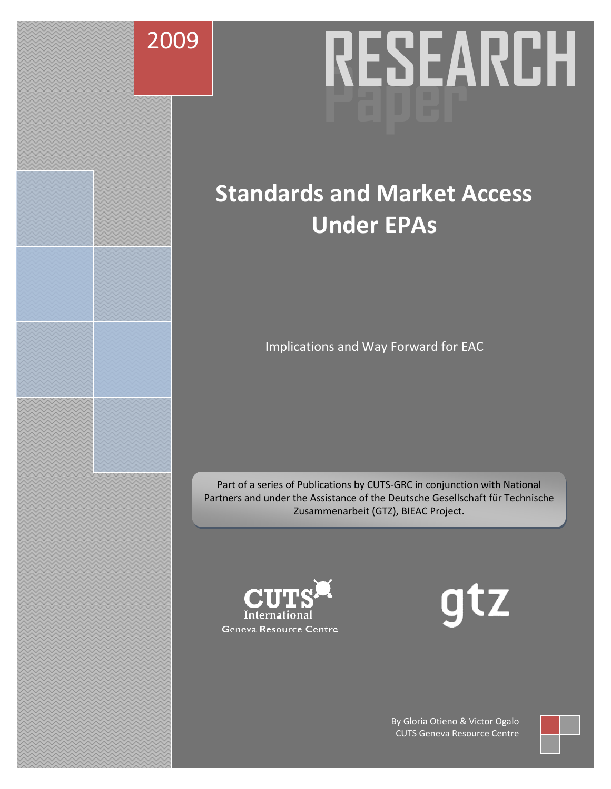



# **Standards and Market Access Under EPAs**

Implications and Way Forward for EAC

Part of a series of Publications by CUTS-GRC in conjunction with National Partners and under the Assistance of the Deutsche Gesellschaft für Technische Zusammenarbeit (GTZ), BIEAC Project.





By Gloria Otieno & Victor Ogalo CUTS Geneva Resource Centre

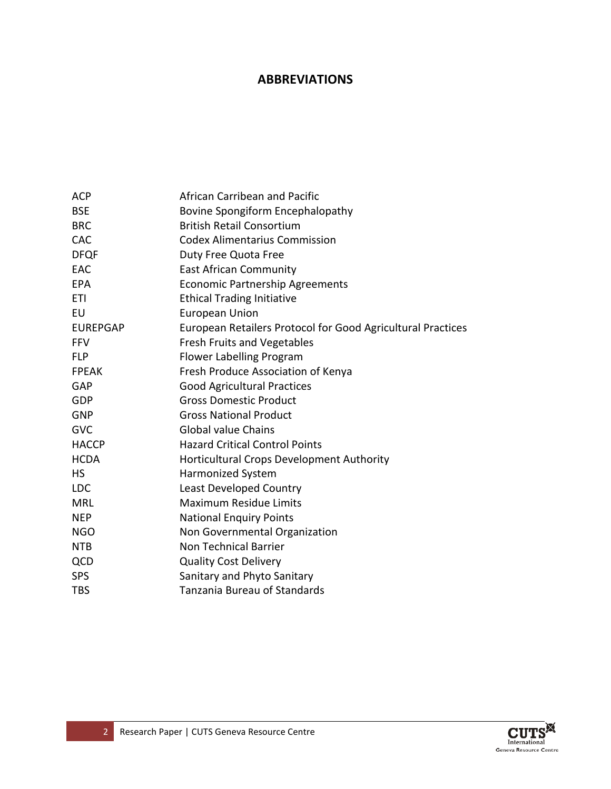## **ABBREVIATIONS**

| <b>ACP</b>      | African Carribean and Pacific                               |
|-----------------|-------------------------------------------------------------|
| <b>BSE</b>      | Bovine Spongiform Encephalopathy                            |
| <b>BRC</b>      | <b>British Retail Consortium</b>                            |
| <b>CAC</b>      | <b>Codex Alimentarius Commission</b>                        |
| <b>DFQF</b>     | Duty Free Quota Free                                        |
| EAC             | <b>East African Community</b>                               |
| <b>EPA</b>      | <b>Economic Partnership Agreements</b>                      |
| <b>ETI</b>      | <b>Ethical Trading Initiative</b>                           |
| EU              | <b>European Union</b>                                       |
| <b>EUREPGAP</b> | European Retailers Protocol for Good Agricultural Practices |
| <b>FFV</b>      | <b>Fresh Fruits and Vegetables</b>                          |
| <b>FLP</b>      | <b>Flower Labelling Program</b>                             |
| <b>FPEAK</b>    | Fresh Produce Association of Kenya                          |
| GAP             | <b>Good Agricultural Practices</b>                          |
| GDP             | <b>Gross Domestic Product</b>                               |
| <b>GNP</b>      | <b>Gross National Product</b>                               |
| <b>GVC</b>      | <b>Global value Chains</b>                                  |
| <b>HACCP</b>    | <b>Hazard Critical Control Points</b>                       |
| <b>HCDA</b>     | Horticultural Crops Development Authority                   |
| <b>HS</b>       | <b>Harmonized System</b>                                    |
| <b>LDC</b>      | <b>Least Developed Country</b>                              |
| <b>MRL</b>      | <b>Maximum Residue Limits</b>                               |
| <b>NEP</b>      | <b>National Enquiry Points</b>                              |
| <b>NGO</b>      | Non Governmental Organization                               |
| <b>NTB</b>      | <b>Non Technical Barrier</b>                                |
| QCD             | <b>Quality Cost Delivery</b>                                |
| <b>SPS</b>      | Sanitary and Phyto Sanitary                                 |
| <b>TBS</b>      | Tanzania Bureau of Standards                                |

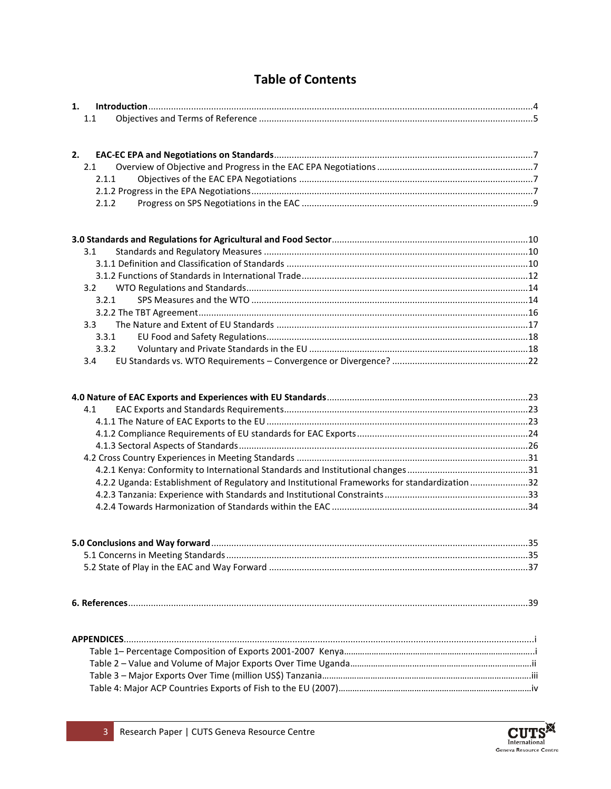# **Table of Contents**

| 1.                                                                                           |     |
|----------------------------------------------------------------------------------------------|-----|
| 1.1                                                                                          |     |
|                                                                                              |     |
|                                                                                              |     |
| 2.                                                                                           |     |
| 2.1                                                                                          |     |
| 2.1.1                                                                                        |     |
|                                                                                              |     |
| 2.1.2                                                                                        |     |
|                                                                                              |     |
|                                                                                              |     |
|                                                                                              |     |
| 3.1                                                                                          |     |
|                                                                                              |     |
|                                                                                              |     |
| 3.2                                                                                          |     |
| 3.2.1                                                                                        |     |
|                                                                                              |     |
| 3.3                                                                                          |     |
| 3.3.1                                                                                        |     |
| 3.3.2                                                                                        |     |
| 3.4                                                                                          |     |
|                                                                                              |     |
|                                                                                              |     |
|                                                                                              |     |
| 4.1                                                                                          |     |
|                                                                                              |     |
|                                                                                              |     |
|                                                                                              |     |
|                                                                                              |     |
|                                                                                              |     |
| 4.2.2 Uganda: Establishment of Regulatory and Institutional Frameworks for standardization32 |     |
|                                                                                              |     |
|                                                                                              |     |
|                                                                                              |     |
|                                                                                              |     |
| 5.0 Conclusions and Way forward.                                                             | .35 |
|                                                                                              |     |
|                                                                                              |     |
|                                                                                              |     |
|                                                                                              |     |
|                                                                                              |     |
|                                                                                              |     |
|                                                                                              |     |
|                                                                                              |     |
|                                                                                              |     |
|                                                                                              |     |
|                                                                                              |     |
|                                                                                              |     |
|                                                                                              |     |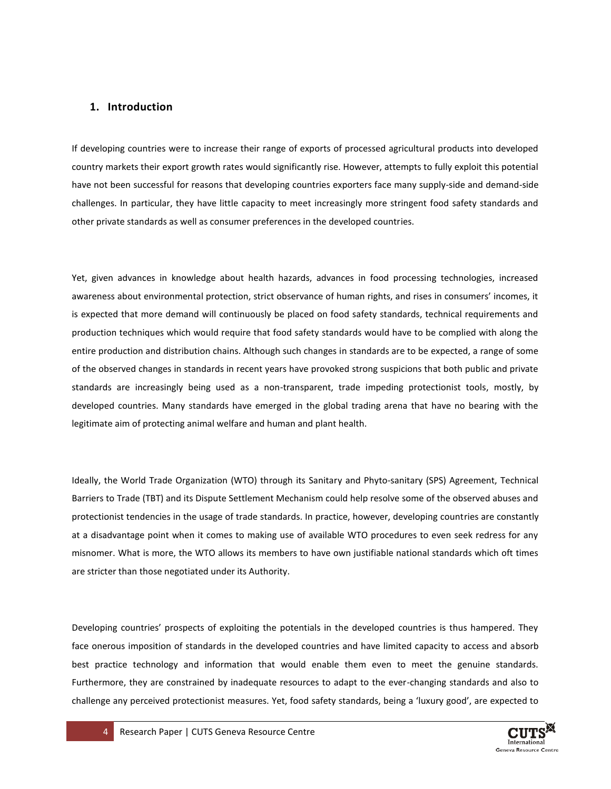## <span id="page-3-0"></span>**1. Introduction**

If developing countries were to increase their range of exports of processed agricultural products into developed country markets their export growth rates would significantly rise. However, attempts to fully exploit this potential have not been successful for reasons that developing countries exporters face many supply-side and demand-side challenges. In particular, they have little capacity to meet increasingly more stringent food safety standards and other private standards as well as consumer preferences in the developed countries.

Yet, given advances in knowledge about health hazards, advances in food processing technologies, increased awareness about environmental protection, strict observance of human rights, and rises in consumers' incomes, it is expected that more demand will continuously be placed on food safety standards, technical requirements and production techniques which would require that food safety standards would have to be complied with along the entire production and distribution chains. Although such changes in standards are to be expected, a range of some of the observed changes in standards in recent years have provoked strong suspicions that both public and private standards are increasingly being used as a non-transparent, trade impeding protectionist tools, mostly, by developed countries. Many standards have emerged in the global trading arena that have no bearing with the legitimate aim of protecting animal welfare and human and plant health.

Ideally, the World Trade Organization (WTO) through its Sanitary and Phyto-sanitary (SPS) Agreement, Technical Barriers to Trade (TBT) and its Dispute Settlement Mechanism could help resolve some of the observed abuses and protectionist tendencies in the usage of trade standards. In practice, however, developing countries are constantly at a disadvantage point when it comes to making use of available WTO procedures to even seek redress for any misnomer. What is more, the WTO allows its members to have own justifiable national standards which oft times are stricter than those negotiated under its Authority.

Developing countries' prospects of exploiting the potentials in the developed countries is thus hampered. They face onerous imposition of standards in the developed countries and have limited capacity to access and absorb best practice technology and information that would enable them even to meet the genuine standards. Furthermore, they are constrained by inadequate resources to adapt to the ever-changing standards and also to challenge any perceived protectionist measures. Yet, food safety standards, being a 'luxury good', are expected to

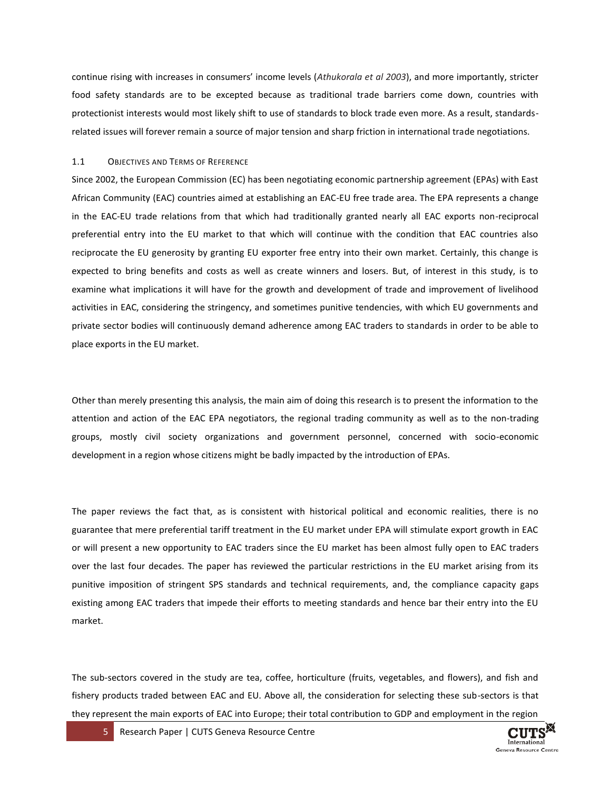continue rising with increases in consumers' income levels (*Athukorala et al 2003*), and more importantly, stricter food safety standards are to be excepted because as traditional trade barriers come down, countries with protectionist interests would most likely shift to use of standards to block trade even more. As a result, standardsrelated issues will forever remain a source of major tension and sharp friction in international trade negotiations.

#### <span id="page-4-0"></span>1.1 OBJECTIVES AND TERMS OF REFERENCE

Since 2002, the European Commission (EC) has been negotiating economic partnership agreement (EPAs) with East African Community (EAC) countries aimed at establishing an EAC-EU free trade area. The EPA represents a change in the EAC-EU trade relations from that which had traditionally granted nearly all EAC exports non-reciprocal preferential entry into the EU market to that which will continue with the condition that EAC countries also reciprocate the EU generosity by granting EU exporter free entry into their own market. Certainly, this change is expected to bring benefits and costs as well as create winners and losers. But, of interest in this study, is to examine what implications it will have for the growth and development of trade and improvement of livelihood activities in EAC, considering the stringency, and sometimes punitive tendencies, with which EU governments and private sector bodies will continuously demand adherence among EAC traders to standards in order to be able to place exports in the EU market.

Other than merely presenting this analysis, the main aim of doing this research is to present the information to the attention and action of the EAC EPA negotiators, the regional trading community as well as to the non-trading groups, mostly civil society organizations and government personnel, concerned with socio-economic development in a region whose citizens might be badly impacted by the introduction of EPAs.

The paper reviews the fact that, as is consistent with historical political and economic realities, there is no guarantee that mere preferential tariff treatment in the EU market under EPA will stimulate export growth in EAC or will present a new opportunity to EAC traders since the EU market has been almost fully open to EAC traders over the last four decades. The paper has reviewed the particular restrictions in the EU market arising from its punitive imposition of stringent SPS standards and technical requirements, and, the compliance capacity gaps existing among EAC traders that impede their efforts to meeting standards and hence bar their entry into the EU market.

The sub-sectors covered in the study are tea, coffee, horticulture (fruits, vegetables, and flowers), and fish and fishery products traded between EAC and EU. Above all, the consideration for selecting these sub-sectors is that they represent the main exports of EAC into Europe; their total contribution to GDP and employment in the region

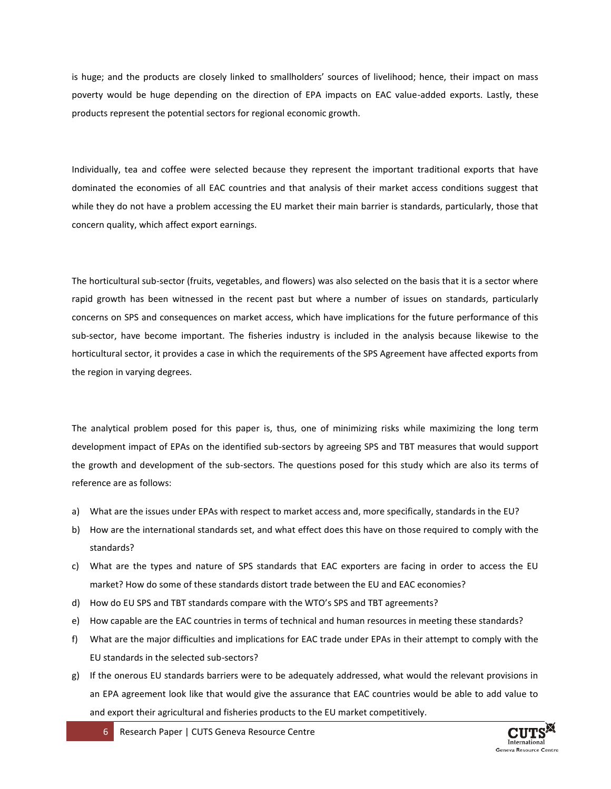is huge; and the products are closely linked to smallholders' sources of livelihood; hence, their impact on mass poverty would be huge depending on the direction of EPA impacts on EAC value-added exports. Lastly, these products represent the potential sectors for regional economic growth.

Individually, tea and coffee were selected because they represent the important traditional exports that have dominated the economies of all EAC countries and that analysis of their market access conditions suggest that while they do not have a problem accessing the EU market their main barrier is standards, particularly, those that concern quality, which affect export earnings.

The horticultural sub-sector (fruits, vegetables, and flowers) was also selected on the basis that it is a sector where rapid growth has been witnessed in the recent past but where a number of issues on standards, particularly concerns on SPS and consequences on market access, which have implications for the future performance of this sub-sector, have become important. The fisheries industry is included in the analysis because likewise to the horticultural sector, it provides a case in which the requirements of the SPS Agreement have affected exports from the region in varying degrees.

The analytical problem posed for this paper is, thus, one of minimizing risks while maximizing the long term development impact of EPAs on the identified sub-sectors by agreeing SPS and TBT measures that would support the growth and development of the sub-sectors. The questions posed for this study which are also its terms of reference are as follows:

- a) What are the issues under EPAs with respect to market access and, more specifically, standards in the EU?
- b) How are the international standards set, and what effect does this have on those required to comply with the standards?
- c) What are the types and nature of SPS standards that EAC exporters are facing in order to access the EU market? How do some of these standards distort trade between the EU and EAC economies?
- d) How do EU SPS and TBT standards compare with the WTO's SPS and TBT agreements?
- e) How capable are the EAC countries in terms of technical and human resources in meeting these standards?
- f) What are the major difficulties and implications for EAC trade under EPAs in their attempt to comply with the EU standards in the selected sub-sectors?
- g) If the onerous EU standards barriers were to be adequately addressed, what would the relevant provisions in an EPA agreement look like that would give the assurance that EAC countries would be able to add value to and export their agricultural and fisheries products to the EU market competitively.

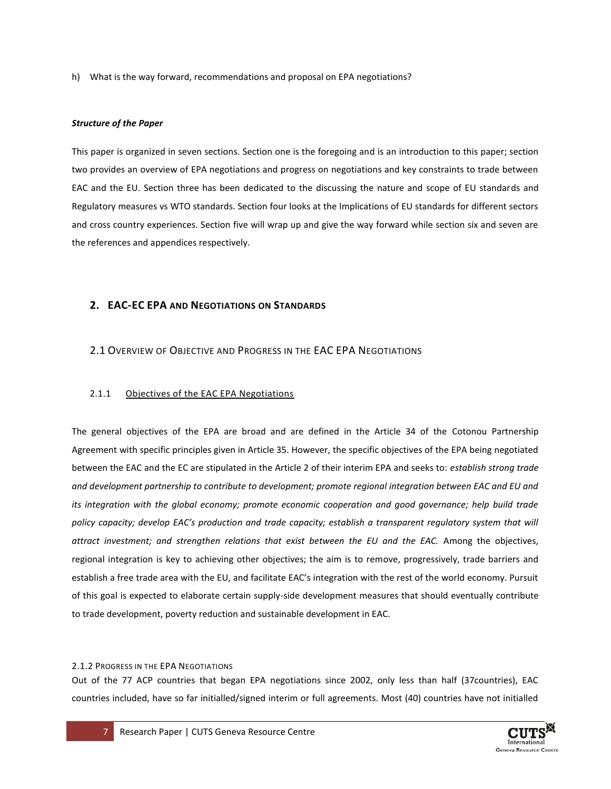h) What is the way forward, recommendations and proposal on EPA negotiations?

#### *Structure of the Paper*

This paper is organized in seven sections. Section one is the foregoing and is an introduction to this paper; section two provides an overview of EPA negotiations and progress on negotiations and key constraints to trade between EAC and the EU. Section three has been dedicated to the discussing the nature and scope of EU standards and Regulatory measures vs WTO standards. Section four looks at the Implications of EU standards for different sectors and cross country experiences. Section five will wrap up and give the way forward while section six and seven are the references and appendices respectively.

## <span id="page-6-0"></span>**2. EAC-EC EPA AND NEGOTIATIONS ON STANDARDS**

## <span id="page-6-1"></span>2.1 OVERVIEW OF OBJECTIVE AND PROGRESS IN THE EAC EPA NEGOTIATIONS

## <span id="page-6-2"></span>2.1.1 Objectives of the EAC EPA Negotiations

The general objectives of the EPA are broad and are defined in the Article 34 of the Cotonou Partnership Agreement with specific principles given in Article 35. However, the specific objectives of the EPA being negotiated between the EAC and the EC are stipulated in the Article 2 of their interim EPA and seeks to: *establish strong trade and development partnership to contribute to development; promote regional integration between EAC and EU and its integration with the global economy; promote economic cooperation and good governance; help build trade policy capacity; develop EAC's production and trade capacity; establish a transparent regulatory system that will attract investment; and strengthen relations that exist between the EU and the EAC.* Among the objectives, regional integration is key to achieving other objectives; the aim is to remove, progressively, trade barriers and establish a free trade area with the EU, and facilitate EAC's integration with the rest of the world economy. Pursuit of this goal is expected to elaborate certain supply-side development measures that should eventually contribute to trade development, poverty reduction and sustainable development in EAC.

#### <span id="page-6-3"></span>2.1.2 PROGRESS IN THE EPA NEGOTIATIONS

Out of the 77 ACP countries that began EPA negotiations since 2002, only less than half (37countries), EAC countries included, have so far initialled/signed interim or full agreements. Most (40) countries have not initialled

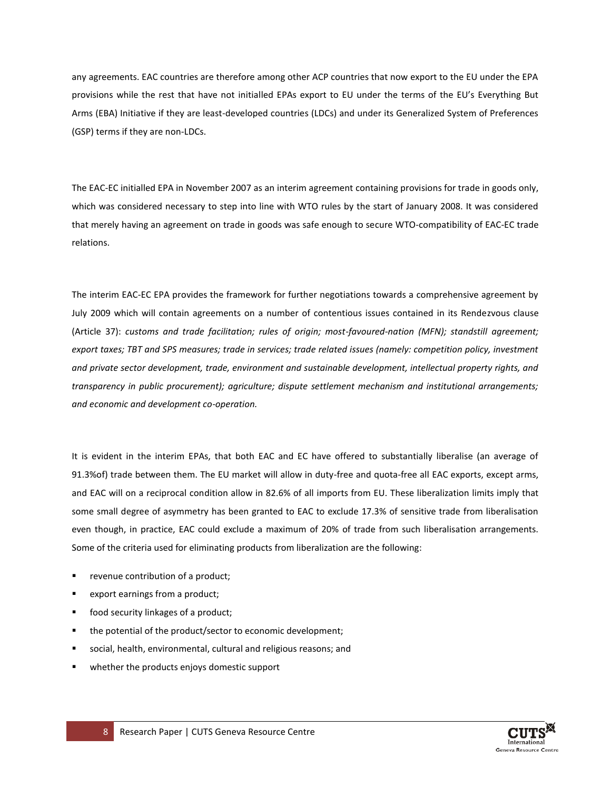any agreements. EAC countries are therefore among other ACP countries that now export to the EU under the EPA provisions while the rest that have not initialled EPAs export to EU under the terms of the EU's Everything But Arms (EBA) Initiative if they are least-developed countries (LDCs) and under its Generalized System of Preferences (GSP) terms if they are non-LDCs.

The EAC-EC initialled EPA in November 2007 as an interim agreement containing provisions for trade in goods only, which was considered necessary to step into line with WTO rules by the start of January 2008. It was considered that merely having an agreement on trade in goods was safe enough to secure WTO-compatibility of EAC-EC trade relations.

The interim EAC-EC EPA provides the framework for further negotiations towards a comprehensive agreement by July 2009 which will contain agreements on a number of contentious issues contained in its Rendezvous clause (Article 37): *customs and trade facilitation; rules of origin; most-favoured-nation (MFN); standstill agreement; export taxes; TBT and SPS measures; trade in services; trade related issues (namely: competition policy, investment and private sector development, trade, environment and sustainable development, intellectual property rights, and transparency in public procurement); agriculture; dispute settlement mechanism and institutional arrangements; and economic and development co-operation.*

It is evident in the interim EPAs, that both EAC and EC have offered to substantially liberalise (an average of 91.3%of) trade between them. The EU market will allow in duty-free and quota-free all EAC exports, except arms, and EAC will on a reciprocal condition allow in 82.6% of all imports from EU. These liberalization limits imply that some small degree of asymmetry has been granted to EAC to exclude 17.3% of sensitive trade from liberalisation even though, in practice, EAC could exclude a maximum of 20% of trade from such liberalisation arrangements. Some of the criteria used for eliminating products from liberalization are the following:

- revenue contribution of a product;
- export earnings from a product;
- **food security linkages of a product;**
- the potential of the product/sector to economic development;
- social, health, environmental, cultural and religious reasons; and
- whether the products enjoys domestic support



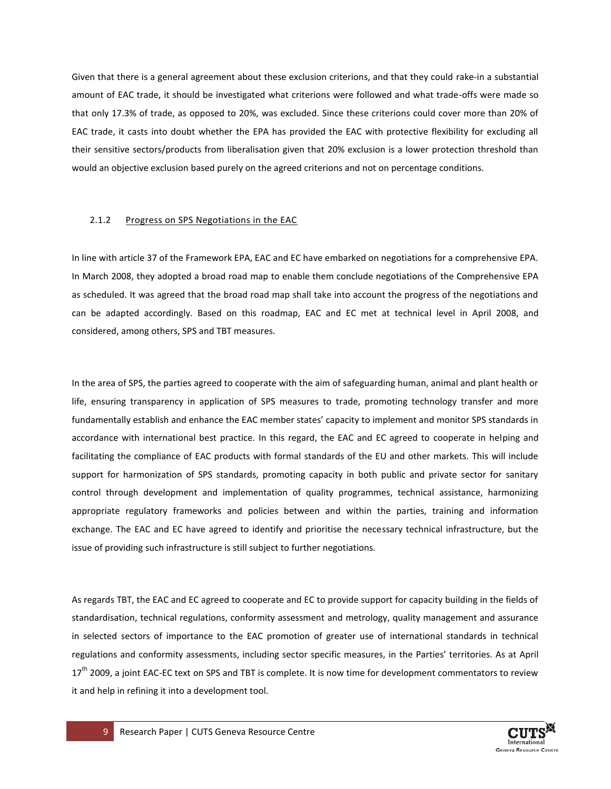Given that there is a general agreement about these exclusion criterions, and that they could rake-in a substantial amount of EAC trade, it should be investigated what criterions were followed and what trade-offs were made so that only 17.3% of trade, as opposed to 20%, was excluded. Since these criterions could cover more than 20% of EAC trade, it casts into doubt whether the EPA has provided the EAC with protective flexibility for excluding all their sensitive sectors/products from liberalisation given that 20% exclusion is a lower protection threshold than would an objective exclusion based purely on the agreed criterions and not on percentage conditions.

#### <span id="page-8-0"></span>2.1.2 Progress on SPS Negotiations in the EAC

In line with article 37 of the Framework EPA, EAC and EC have embarked on negotiations for a comprehensive EPA. In March 2008, they adopted a broad road map to enable them conclude negotiations of the Comprehensive EPA as scheduled. It was agreed that the broad road map shall take into account the progress of the negotiations and can be adapted accordingly. Based on this roadmap, EAC and EC met at technical level in April 2008, and considered, among others, SPS and TBT measures.

In the area of SPS, the parties agreed to cooperate with the aim of safeguarding human, animal and plant health or life, ensuring transparency in application of SPS measures to trade, promoting technology transfer and more fundamentally establish and enhance the EAC member states' capacity to implement and monitor SPS standards in accordance with international best practice. In this regard, the EAC and EC agreed to cooperate in helping and facilitating the compliance of EAC products with formal standards of the EU and other markets. This will include support for harmonization of SPS standards, promoting capacity in both public and private sector for sanitary control through development and implementation of quality programmes, technical assistance, harmonizing appropriate regulatory frameworks and policies between and within the parties, training and information exchange. The EAC and EC have agreed to identify and prioritise the necessary technical infrastructure, but the issue of providing such infrastructure is still subject to further negotiations.

As regards TBT, the EAC and EC agreed to cooperate and EC to provide support for capacity building in the fields of standardisation, technical regulations, conformity assessment and metrology, quality management and assurance in selected sectors of importance to the EAC promotion of greater use of international standards in technical regulations and conformity assessments, including sector specific measures, in the Parties' territories. As at April 17<sup>th</sup> 2009, a joint EAC-EC text on SPS and TBT is complete. It is now time for development commentators to review it and help in refining it into a development tool.

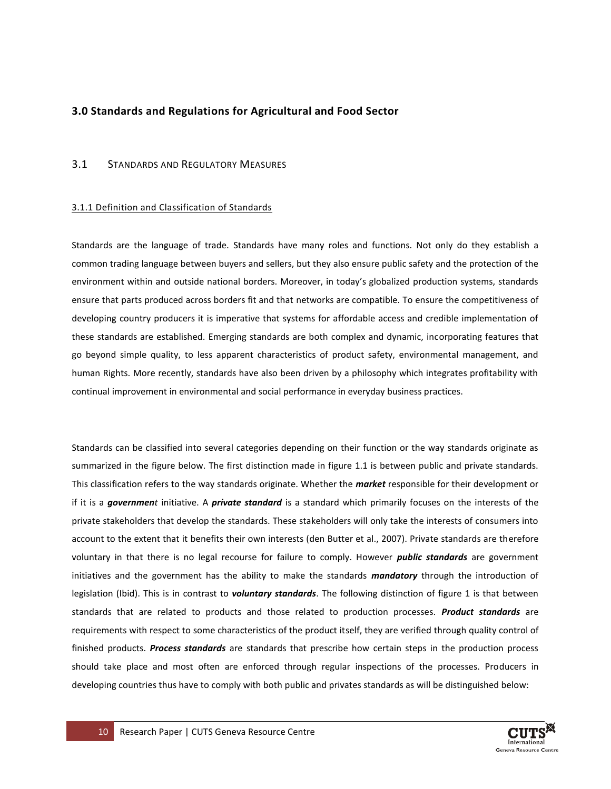## <span id="page-9-0"></span>**3.0 Standards and Regulations for Agricultural and Food Sector**

#### <span id="page-9-1"></span>3.1 STANDARDS AND REGULATORY MEASURES

#### <span id="page-9-2"></span>3.1.1 Definition and Classification of Standards

Standards are the language of trade. Standards have many roles and functions. Not only do they establish a common trading language between buyers and sellers, but they also ensure public safety and the protection of the environment within and outside national borders. Moreover, in today's globalized production systems, standards ensure that parts produced across borders fit and that networks are compatible. To ensure the competitiveness of developing country producers it is imperative that systems for affordable access and credible implementation of these standards are established. Emerging standards are both complex and dynamic, incorporating features that go beyond simple quality, to less apparent characteristics of product safety, environmental management, and human Rights. More recently, standards have also been driven by a philosophy which integrates profitability with continual improvement in environmental and social performance in everyday business practices.

Standards can be classified into several categories depending on their function or the way standards originate as summarized in the figure below. The first distinction made in figure 1.1 is between public and private standards. This classification refers to the way standards originate. Whether the *market* responsible for their development or if it is a *government* initiative. A *private standard* is a standard which primarily focuses on the interests of the private stakeholders that develop the standards. These stakeholders will only take the interests of consumers into account to the extent that it benefits their own interests (den Butter et al., 2007). Private standards are therefore voluntary in that there is no legal recourse for failure to comply. However *public standards* are government initiatives and the government has the ability to make the standards *mandatory* through the introduction of legislation (Ibid). This is in contrast to *voluntary standards*. The following distinction of figure 1 is that between standards that are related to products and those related to production processes. *Product standards* are requirements with respect to some characteristics of the product itself, they are verified through quality control of finished products. *Process standards* are standards that prescribe how certain steps in the production process should take place and most often are enforced through regular inspections of the processes. Producers in developing countries thus have to comply with both public and privates standards as will be distinguished below:

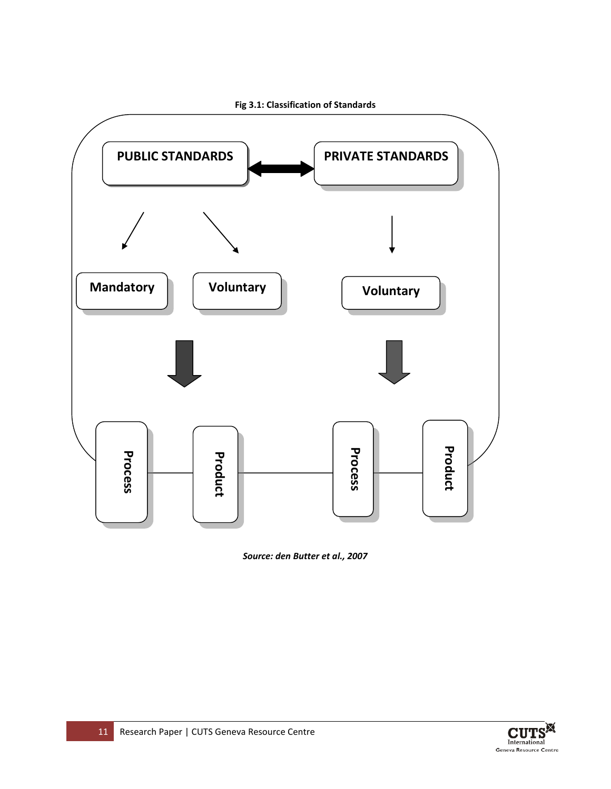

*Source: den Butter et al., 2007*

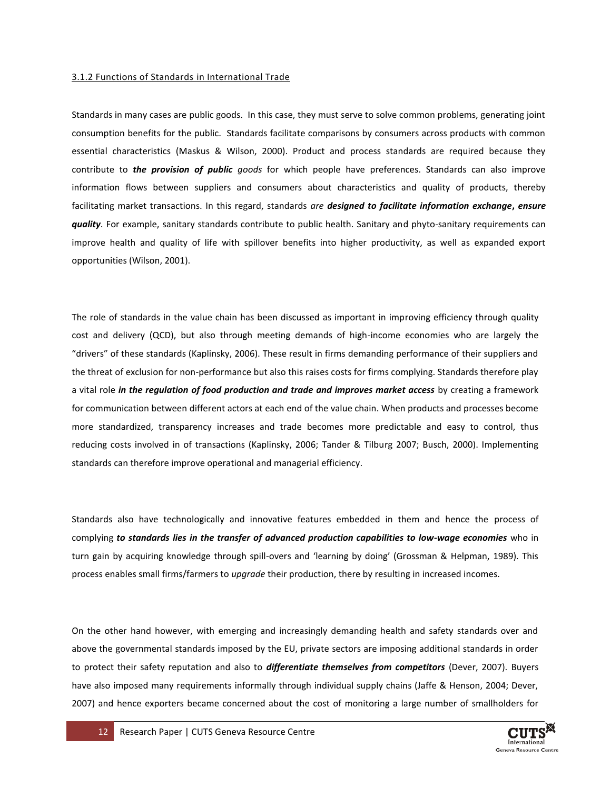#### <span id="page-11-0"></span>3.1.2 Functions of Standards in International Trade

Standards in many cases are public goods. In this case, they must serve to solve common problems, generating joint consumption benefits for the public. Standards facilitate comparisons by consumers across products with common essential characteristics (Maskus & Wilson, 2000). Product and process standards are required because they contribute to *the provision of public goods* for which people have preferences. Standards can also improve information flows between suppliers and consumers about characteristics and quality of products, thereby facilitating market transactions. In this regard, standards *are designed to facilitate information exchange***,** *ensure quality*. For example, sanitary standards contribute to public health. Sanitary and phyto-sanitary requirements can improve health and quality of life with spillover benefits into higher productivity, as well as expanded export opportunities (Wilson, 2001).

The role of standards in the value chain has been discussed as important in improving efficiency through quality cost and delivery (QCD), but also through meeting demands of high-income economies who are largely the "drivers" of these standards (Kaplinsky, 2006). These result in firms demanding performance of their suppliers and the threat of exclusion for non-performance but also this raises costs for firms complying. Standards therefore play a vital role *in the regulation of food production and trade and improves market access* by creating a framework for communication between different actors at each end of the value chain. When products and processes become more standardized, transparency increases and trade becomes more predictable and easy to control, thus reducing costs involved in of transactions (Kaplinsky, 2006; Tander & Tilburg 2007; Busch, 2000). Implementing standards can therefore improve operational and managerial efficiency.

Standards also have technologically and innovative features embedded in them and hence the process of complying *to standards lies in the transfer of advanced production capabilities to low-wage economies* who in turn gain by acquiring knowledge through spill-overs and 'learning by doing' (Grossman & Helpman, 1989). This process enables small firms/farmers to *upgrade* their production, there by resulting in increased incomes.

On the other hand however, with emerging and increasingly demanding health and safety standards over and above the governmental standards imposed by the EU, private sectors are imposing additional standards in order to protect their safety reputation and also to *differentiate themselves from competitors* (Dever, 2007). Buyers have also imposed many requirements informally through individual supply chains (Jaffe & Henson, 2004; Dever, 2007) and hence exporters became concerned about the cost of monitoring a large number of smallholders for

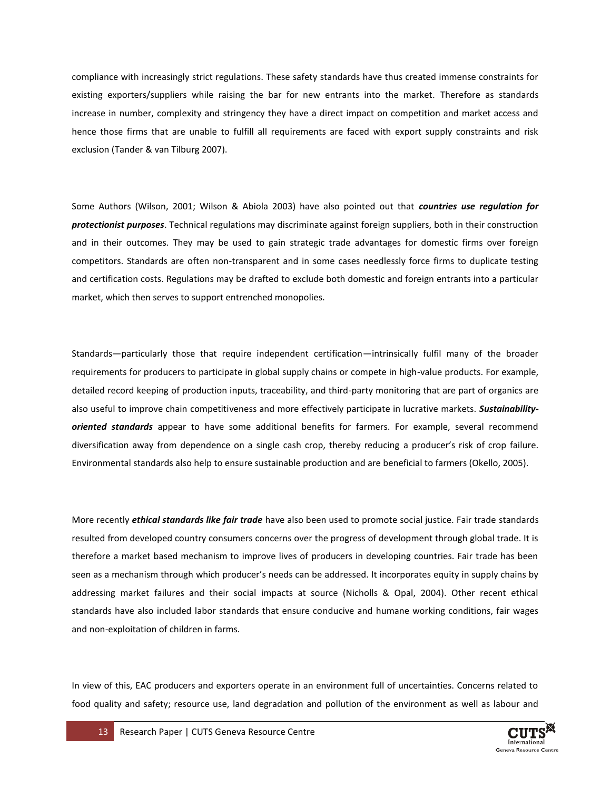compliance with increasingly strict regulations. These safety standards have thus created immense constraints for existing exporters/suppliers while raising the bar for new entrants into the market. Therefore as standards increase in number, complexity and stringency they have a direct impact on competition and market access and hence those firms that are unable to fulfill all requirements are faced with export supply constraints and risk exclusion (Tander & van Tilburg 2007).

Some Authors (Wilson, 2001; Wilson & Abiola 2003) have also pointed out that *countries use regulation for protectionist purposes*. Technical regulations may discriminate against foreign suppliers, both in their construction and in their outcomes. They may be used to gain strategic trade advantages for domestic firms over foreign competitors. Standards are often non-transparent and in some cases needlessly force firms to duplicate testing and certification costs. Regulations may be drafted to exclude both domestic and foreign entrants into a particular market, which then serves to support entrenched monopolies.

Standards—particularly those that require independent certification—intrinsically fulfil many of the broader requirements for producers to participate in global supply chains or compete in high-value products. For example, detailed record keeping of production inputs, traceability, and third-party monitoring that are part of organics are also useful to improve chain competitiveness and more effectively participate in lucrative markets. *Sustainabilityoriented standards* appear to have some additional benefits for farmers. For example, several recommend diversification away from dependence on a single cash crop, thereby reducing a producer's risk of crop failure. Environmental standards also help to ensure sustainable production and are beneficial to farmers (Okello, 2005).

More recently *ethical standards like fair trade* have also been used to promote social justice. Fair trade standards resulted from developed country consumers concerns over the progress of development through global trade. It is therefore a market based mechanism to improve lives of producers in developing countries. Fair trade has been seen as a mechanism through which producer's needs can be addressed. It incorporates equity in supply chains by addressing market failures and their social impacts at source (Nicholls & Opal, 2004). Other recent ethical standards have also included labor standards that ensure conducive and humane working conditions, fair wages and non-exploitation of children in farms.

In view of this, EAC producers and exporters operate in an environment full of uncertainties. Concerns related to food quality and safety; resource use, land degradation and pollution of the environment as well as labour and

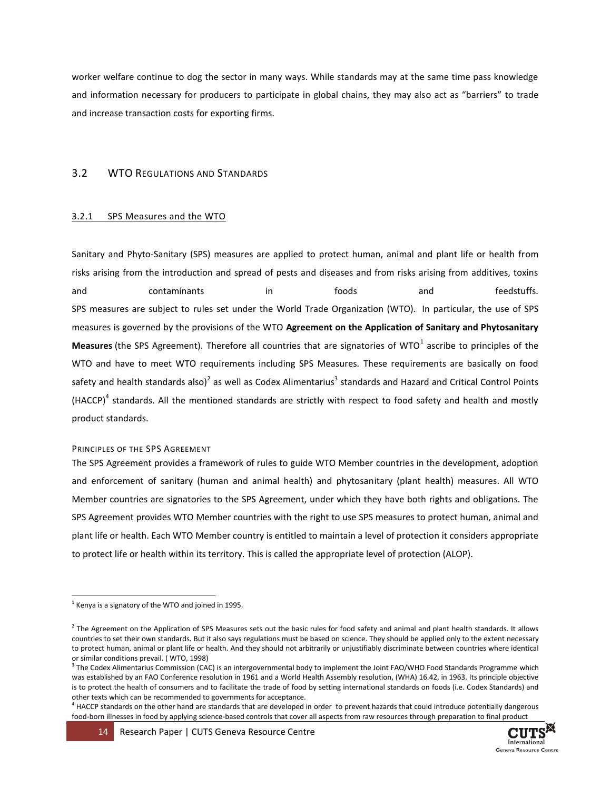worker welfare continue to dog the sector in many ways. While standards may at the same time pass knowledge and information necessary for producers to participate in global chains, they may also act as "barriers" to trade and increase transaction costs for exporting firms.

#### <span id="page-13-0"></span>3.2 WTO REGULATIONS AND STANDARDS

#### <span id="page-13-1"></span>3.2.1 SPS Measures and the WTO

Sanitary and Phyto-Sanitary (SPS) measures are applied to protect human, animal and plant life or health from risks arising from the introduction and spread of pests and diseases and from risks arising from additives, toxins and contaminants in foods and feedstuffs. SPS measures are subject to rules set under the World Trade Organization (WTO). In particular, the use of SPS measures is governed by the provisions of the WTO **[Agreement on the Application of Sanitary and Phytosanitary](http://www.wto.org/english/docs_e/legal_e/15sps_01_e.htm)  [Measures](http://www.wto.org/english/docs_e/legal_e/15sps_01_e.htm)** (the SPS Agreement). Therefore all countries that are signatories of WTO<sup>1</sup> ascribe to principles of the WTO and have to meet WTO requirements including SPS Measures. These requirements are basically on food safety and health standards also)<sup>2</sup> as well as Codex Alimentarius<sup>3</sup> standards and Hazard and Critical Control Points (HACCP)<sup>4</sup> standards. All the mentioned standards are strictly with respect to food safety and health and mostly product standards.

#### PRINCIPLES OF THE SPS AGREEMENT

Th[e SPS Agreement](http://www.wto.org/english/tratop_e/sps_e/sps_agreement_cbt_e/c1s3p1_e.htm) provides a framework of rules to guide WTO Member countries in the development, adoption and enforcement of sanitary (human and animal health) and phytosanitary (plant health) measures. All WTO Member countries are signatories to the SPS Agreement, under which they have both rights and obligations. The SPS Agreement provides WTO Member countries with the right to use SPS measures to protect human, animal and plant life or health. Each WTO Member country is entitled to maintain a level of protection it considers appropriate to protect life or health within its territory. This is called the appropriate level of protection (ALOP).

 $\overline{a}$ 



 $<sup>1</sup>$  Kenya is a signatory of the WTO and joined in 1995.</sup>

 $^2$  The Agreement on the Application of SPS Measures sets out the basic rules for food safety and animal and plant health standards. It allows countries to set their own standards. But it also says regulations must be based on science. They should be applied only to the extent necessary to protect human, animal or plant life or health. And they should not arbitrarily or unjustifiably discriminate between countries where identical or similar conditions prevail. ( WTO, 1998)

<sup>&</sup>lt;sup>3</sup> The Codex Alimentarius Commission (CAC) is an intergovernmental body to implement the Joint FAO/WHO Food Standards Programme which was established by an FAO Conference resolution in 1961 and a World Health Assembly resolution, (WHA) 16.42, in 1963. Its principle objective is to protect the health of consumers and to facilitate the trade of food by setting international standards on foods (i.e. Codex Standards) and other texts which can be recommended to governments for acceptance.

<sup>&</sup>lt;sup>4</sup> HACCP standards on the other hand are standards that are developed in order to prevent hazards that could introduce potentially dangerous food-born illnesses in food by applying science-based controls that cover all aspects from raw resources through preparation to final product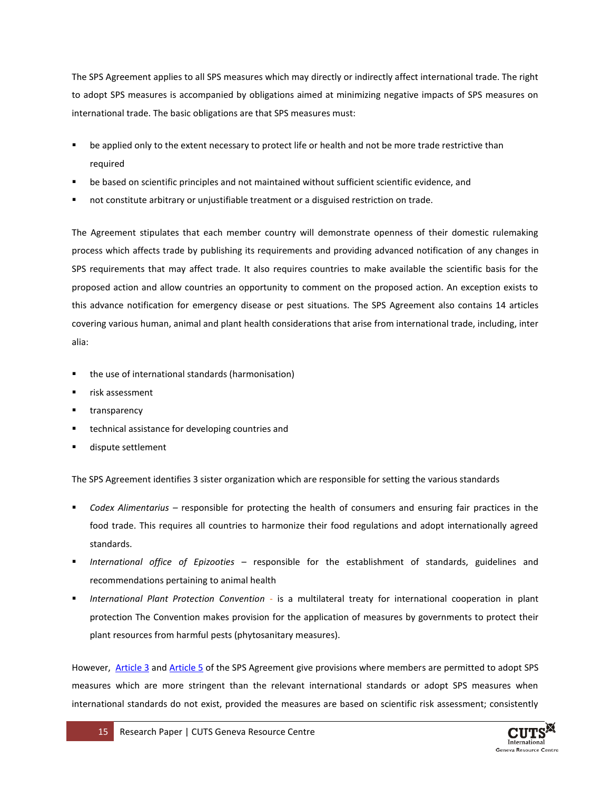The SPS Agreement applies to all SPS measures which may directly or indirectly affect international trade. The right to adopt SPS measures is accompanied by obligations aimed at minimizing negative impacts of SPS measures on international trade. The basic obligations are that SPS measures must:

- be applied only to the extent necessary to protect life or health and not be more trade restrictive than required
- be based on scientific principles and not maintained without sufficient scientific evidence, and
- not constitute arbitrary or unjustifiable treatment or a disguised restriction on trade.

The Agreement stipulates that each member country will demonstrate openness of their domestic rulemaking process which affects trade by publishing its requirements and providing advanced notification of any changes in SPS requirements that may affect trade. It also requires countries to make available the scientific basis for the proposed action and allow countries an opportunity to comment on the proposed action. An exception exists to this advance notification for emergency disease or pest situations. The SPS Agreement also contains 14 articles covering various human, animal and plant health considerations that arise from international trade, including, inter alia:

- the use of international standards (harmonisation)
- risk assessment
- transparency
- technical assistance for developing countries and
- dispute settlement

The SPS Agreement identifies 3 sister organization which are responsible for setting the various standards

- *Codex Alimentarius –* responsible for protecting the health of consumers and ensuring fair practices in the food trade. This requires all countries to harmonize their food regulations and adopt internationally agreed standards.
- *International office of Epizooties* responsible for the establishment of standards, guidelines and recommendations pertaining to animal health
- *International Plant Protection Convention* is a multilateral treaty for international cooperation in plant protection The Convention makes provision for the application of measures by governments to protect their plant resources from harmful pests (phytosanitary measures).

However, [Article 3](javascript:openAWindow() and [Article 5](javascript:openAWindow() of the SPS Agreement give provisions where members are permitted to adopt SPS measures which are more stringent than the relevant international standards or adopt SPS measures when international standards do not exist, provided the measures are based on scientific risk assessment; consistently

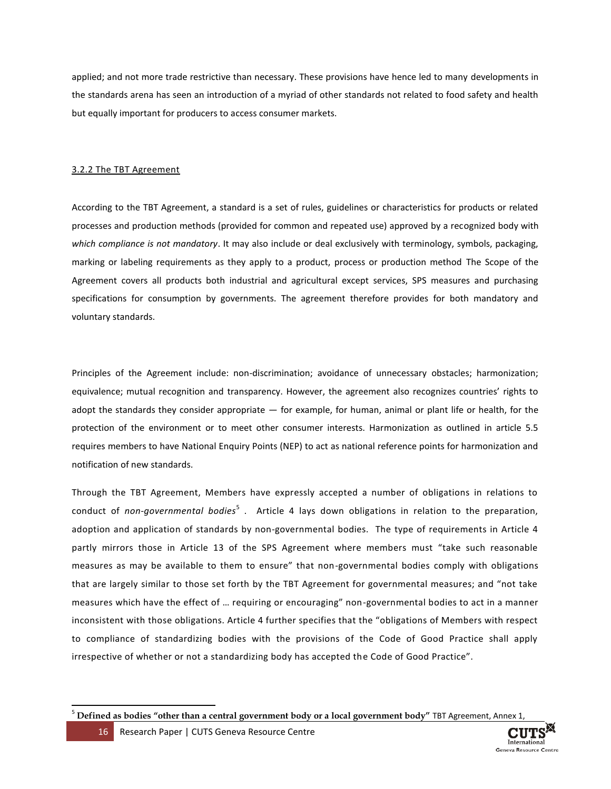applied; and not more trade restrictive than necessary. These provisions have hence led to many developments in the standards arena has seen an introduction of a myriad of other standards not related to food safety and health but equally important for producers to access consumer markets.

#### <span id="page-15-0"></span>3.2.2 The TBT Agreement

According to the TBT Agreement, a standard is a set of rules, guidelines or characteristics for products or related processes and production methods (provided for common and repeated use) approved by a recognized body with *which compliance is not mandatory*. It may also include or deal exclusively with terminology, symbols, packaging, marking or labeling requirements as they apply to a product, process or production method The Scope of the Agreement covers all products both industrial and agricultural except services, SPS measures and purchasing specifications for consumption by governments. The agreement therefore provides for both mandatory and voluntary standards.

Principles of the Agreement include: non-discrimination; avoidance of unnecessary obstacles; harmonization; equivalence; mutual recognition and transparency. However, the agreement also recognizes countries' rights to adopt the standards they consider appropriate — for example, for human, animal or plant life or health, for the protection of the environment or to meet other consumer interests. Harmonization as outlined in article 5.5 requires members to have National Enquiry Points (NEP) to act as national reference points for harmonization and notification of new standards.

Through the TBT Agreement, Members have expressly accepted a number of obligations in relations to conduct of *non-governmental bodies*<sup>5</sup>. Article 4 lays down obligations in relation to the preparation, adoption and application of standards by non-governmental bodies. The type of requirements in Article 4 partly mirrors those in Article 13 of the SPS Agreement where members must "take such reasonable measures as may be available to them to ensure" that non-governmental bodies comply with obligations that are largely similar to those set forth by the TBT Agreement for governmental measures; and "not take measures which have the effect of … requiring or encouraging" non-governmental bodies to act in a manner inconsistent with those obligations. Article 4 further specifies that the "obligations of Members with respect to compliance of standardizing bodies with the provisions of the Code of Good Practice shall apply irrespective of whether or not a standardizing body has accepted the Code of Good Practice".

 $\overline{a}$ 



<sup>5</sup> **Defined as bodies "other than a central government body or a local government body"** TBT Agreement, Annex 1,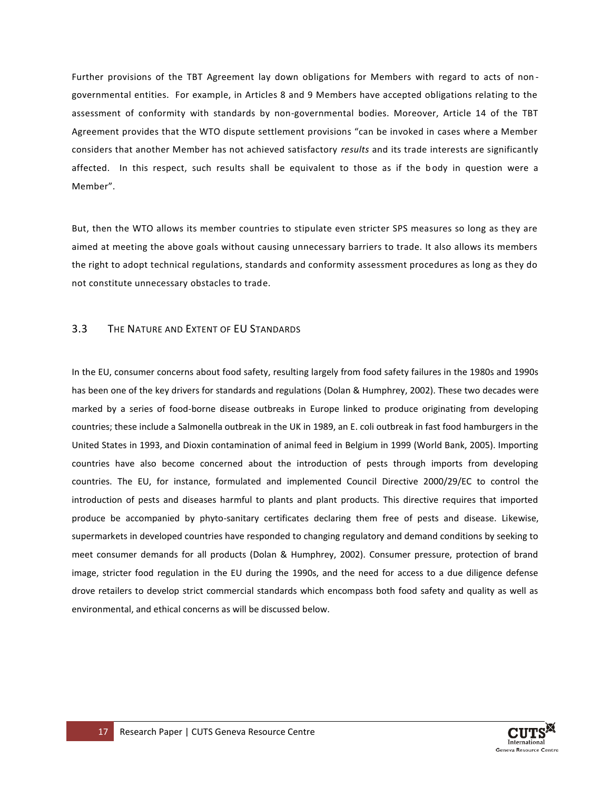Further provisions of the TBT Agreement lay down obligations for Members with regard to acts of non governmental entities. For example, in Articles 8 and 9 Members have accepted obligations relating to the assessment of conformity with standards by non-governmental bodies. Moreover, Article 14 of the TBT Agreement provides that the WTO dispute settlement provisions "can be invoked in cases where a Member considers that another Member has not achieved satisfactory *results* and its trade interests are significantly affected. In this respect, such results shall be equivalent to those as if the body in question were a Member".

But, then the WTO allows its member countries to stipulate even stricter SPS measures so long as they are aimed at meeting the above goals without causing unnecessary barriers to trade. It also allows its members the right to adopt technical regulations, standards and conformity assessment procedures as long as they do not constitute unnecessary obstacles to trade.

#### <span id="page-16-0"></span>3.3 THE NATURE AND EXTENT OF EU STANDARDS

In the EU, consumer concerns about food safety, resulting largely from food safety failures in the 1980s and 1990s has been one of the key drivers for standards and regulations (Dolan & Humphrey, 2002). These two decades were marked by a series of food-borne disease outbreaks in Europe linked to produce originating from developing countries; these include a Salmonella outbreak in the UK in 1989, an E. coli outbreak in fast food hamburgers in the United States in 1993, and Dioxin contamination of animal feed in Belgium in 1999 (World Bank, 2005). Importing countries have also become concerned about the introduction of pests through imports from developing countries. The EU, for instance, formulated and implemented Council Directive 2000/29/EC to control the introduction of pests and diseases harmful to plants and plant products. This directive requires that imported produce be accompanied by phyto-sanitary certificates declaring them free of pests and disease. Likewise, supermarkets in developed countries have responded to changing regulatory and demand conditions by seeking to meet consumer demands for all products (Dolan & Humphrey, 2002). Consumer pressure, protection of brand image, stricter food regulation in the EU during the 1990s, and the need for access to a due diligence defense drove retailers to develop strict commercial standards which encompass both food safety and quality as well as environmental, and ethical concerns as will be discussed below.

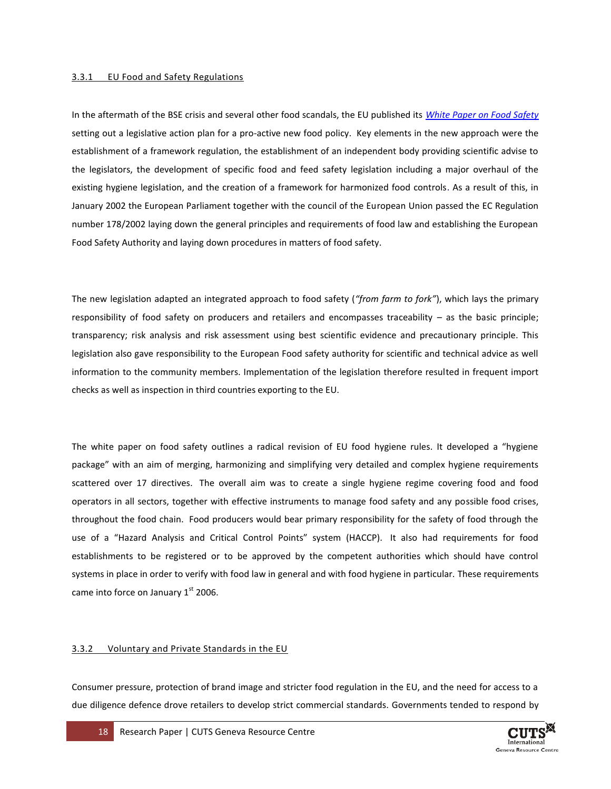#### <span id="page-17-0"></span>3.3.1 EU Food and Safety Regulations

In the aftermath of the BSE crisis and several other food scandals, the EU published its *[White Paper on Food Safety](http://europa.eu.int/comm/dgs/health_consumer/library/pub/pub06_en.pdf)* setting out a legislative action plan for a pro-active new food policy. Key elements in the new approach were the establishment of a framework regulation, the establishment of an independent body providing scientific advise to the legislators, the development of specific food and feed safety legislation including a major overhaul of the existing hygiene legislation, and the creation of a framework for harmonized food controls. As a result of this, in January 2002 the European Parliament together with the council of the European Union passed the EC Regulation number 178/2002 laying down the general principles and requirements of food law and establishing the European Food Safety Authority and laying down procedures in matters of food safety.

The new legislation adapted an integrated approach to food safety (*"from farm to fork"*), which lays the primary responsibility of food safety on producers and retailers and encompasses traceability – as the basic principle; transparency; risk analysis and risk assessment using best scientific evidence and precautionary principle. This legislation also gave responsibility to the European Food safety authority for scientific and technical advice as well information to the community members. Implementation of the legislation therefore resulted in frequent import checks as well as inspection in third countries exporting to the EU.

The white paper on food safety outlines a radical revision of EU food hygiene rules. It developed a "hygiene package" with an aim of merging, harmonizing and simplifying very detailed and complex hygiene requirements scattered over 17 directives. The overall aim was to create a single hygiene regime covering food and food operators in all sectors, together with effective instruments to manage food safety and any possible food crises, throughout the food chain. Food producers would bear primary responsibility for the safety of food through the use of a "Hazard Analysis and Critical Control Points" system (HACCP). It also had requirements for food establishments to be registered or to be approved by the competent authorities which should have control systems in place in order to verify with food law in general and with food hygiene in particular. These requirements came into force on January  $1<sup>st</sup>$  2006.

#### <span id="page-17-1"></span>3.3.2 Voluntary and Private Standards in the EU

Consumer pressure, protection of brand image and stricter food regulation in the EU, and the need for access to a due diligence defence drove retailers to develop strict commercial standards. Governments tended to respond by

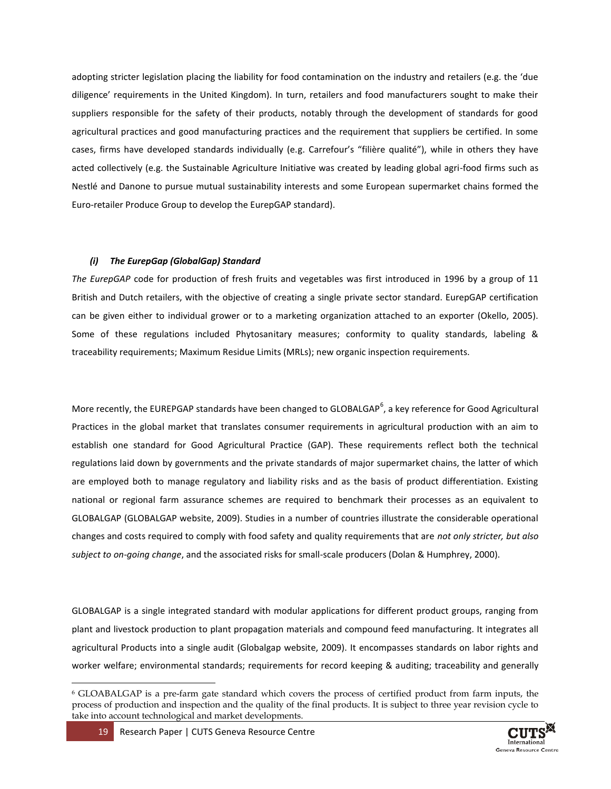adopting stricter legislation placing the liability for food contamination on the industry and retailers (e.g. the 'due diligence' requirements in the United Kingdom). In turn, retailers and food manufacturers sought to make their suppliers responsible for the safety of their products, notably through the development of standards for good agricultural practices and good manufacturing practices and the requirement that suppliers be certified. In some cases, firms have developed standards individually (e.g. Carrefour's "filière qualité"), while in others they have acted collectively (e.g. the Sustainable Agriculture Initiative was created by leading global agri-food firms such as Nestlé and Danone to pursue mutual sustainability interests and some European supermarket chains formed the Euro-retailer Produce Group to develop the EurepGAP standard).

#### *(i) The EurepGap (GlobalGap) Standard*

*The EurepGAP* code for production of fresh fruits and vegetables was first introduced in 1996 by a group of 11 British and Dutch retailers, with the objective of creating a single private sector standard. EurepGAP certification can be given either to individual grower or to a marketing organization attached to an exporter (Okello, 2005). Some of these regulations included Phytosanitary measures; conformity to quality standards, labeling & traceability requirements; Maximum Residue Limits (MRLs); new organic inspection requirements.

More recently, the EUREPGAP standards have been changed to GLOBALGAP<sup>6</sup>, a key reference for Good Agricultural Practices in the global market that translates consumer requirements in agricultural production with an aim to establish one standard for Good Agricultural Practice (GAP). These requirements reflect both the technical regulations laid down by governments and the private standards of major supermarket chains, the latter of which are employed both to manage regulatory and liability risks and as the basis of product differentiation. Existing national or regional farm assurance schemes are required to benchmark their processes as an equivalent to GLOBALGAP (GLOBALGAP website, 2009). Studies in a number of countries illustrate the considerable operational changes and costs required to comply with food safety and quality requirements that are *not only stricter, but also subject to on-going change*, and the associated risks for small-scale producers [\(Dolan & Humphrey, 2000\)](http://www.sciencedirect.com/science?_ob=ArticleURL&_udi=B6VCB-4GX6J8G-1&_user=499884&_rdoc=1&_fmt=&_orig=search&_sort=d&view=c&_version=1&_urlVersion=0&_userid=499884&md5=3ab4671878edab0c89f186ca4e3439fe#bib12).

GLOBALGAP is a single integrated standard with modular applications for different product groups, ranging from plant and livestock production to plant propagation materials and compound feed manufacturing. It integrates all agricultural Products into a single audit (Globalgap website, 2009). It encompasses standards on labor rights and worker welfare; environmental standards; requirements for record keeping & auditing; traceability and generally

 $\overline{a}$ 



<sup>6</sup> GLOABALGAP is a pre-farm gate standard which covers the process of certified product from farm inputs, the process of production and inspection and the quality of the final products. It is subject to three year revision cycle to take into account technological and market developments.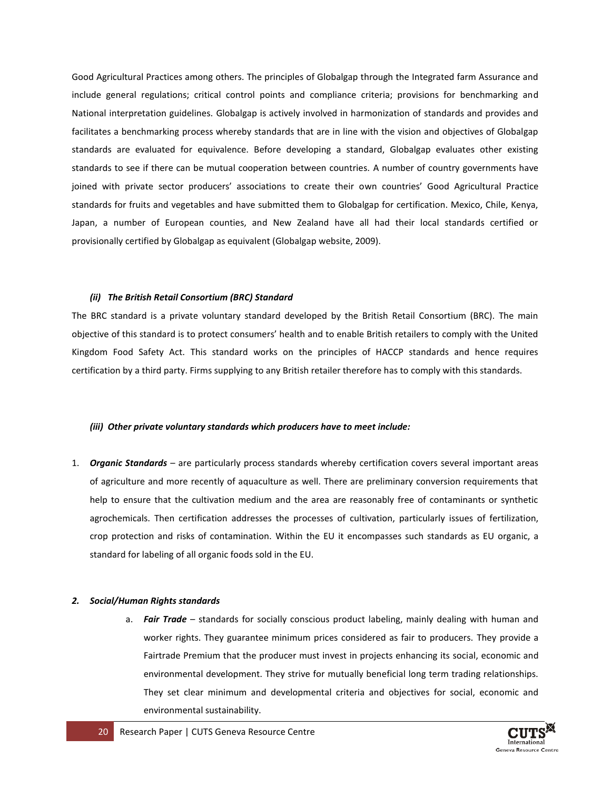Good Agricultural Practices among others. The principles of Globalgap through the Integrated farm Assurance and include general regulations; critical control points and compliance criteria; provisions for benchmarking and National interpretation guidelines. Globalgap is actively involved in harmonization of standards and provides and facilitates a benchmarking process whereby standards that are in line with the vision and objectives of Globalgap standards are evaluated for equivalence. Before developing a standard, Globalgap evaluates other existing standards to see if there can be mutual cooperation between countries. A number of country governments have joined with private sector producers' associations to create their own countries' Good Agricultural Practice standards for fruits and vegetables and have submitted them to Globalgap for certification. Mexico, Chile, Kenya, Japan, a number of European counties, and New Zealand have all had their local standards certified or provisionally certified by Globalgap as equivalent (Globalgap website, 2009).

#### *(ii) The British Retail Consortium (BRC) Standard*

The BRC standard is a private voluntary standard developed by the British Retail Consortium (BRC). The main objective of this standard is to protect consumers' health and to enable British retailers to comply with the United Kingdom Food Safety Act. This standard works on the principles of HACCP standards and hence requires certification by a third party. Firms supplying to any British retailer therefore has to comply with this standards.

#### *(iii) Other private voluntary standards which producers have to meet include:*

1. *Organic Standards* – are particularly process standards whereby certification covers several important areas of agriculture and more recently of aquaculture as well. There are preliminary conversion requirements that help to ensure that the cultivation medium and the area are reasonably free of contaminants or synthetic agrochemicals. Then certification addresses the processes of cultivation, particularly issues of fertilization, crop protection and risks of contamination. Within the EU it encompasses such standards as EU organic, a standard for labeling of all organic foods sold in the EU.

#### *2. Social/Human Rights standards*

a. *Fair Trade* – standards for socially conscious product labeling, mainly dealing with human and worker rights. They guarantee minimum prices considered as fair to producers. They provide a Fairtrade Premium that the producer must invest in projects enhancing its social, economic and environmental development. They strive for mutually beneficial long term trading relationships. They set clear minimum and developmental criteria and objectives for social, economic and environmental sustainability.

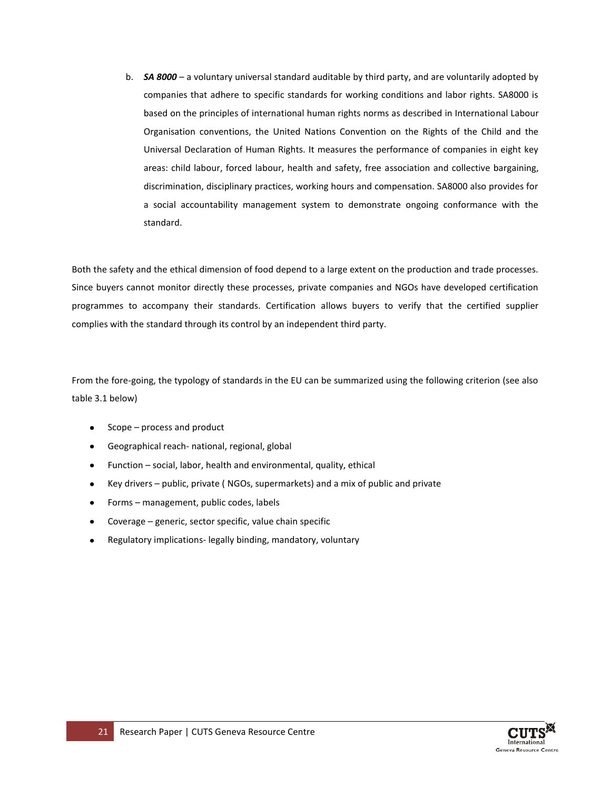b. *SA 8000* – a voluntary universal standard auditable by third party, and are voluntarily adopted by companies that adhere to specific standards for working conditions and labor rights. SA8000 is based on the principles of international human rights norms as described in International Labour Organisation conventions, the United Nations Convention on the Rights of the Child and the Universal Declaration of Human Rights. It measures the performance of companies in eight key areas: child labour, forced labour, health and safety, free association and collective bargaining, discrimination, disciplinary practices, working hours and compensation. SA8000 also provides for a social accountability management system to demonstrate ongoing conformance with the standard.

Both the safety and the ethical dimension of food depend to a large extent on the production and trade processes. Since buyers cannot monitor directly these processes, private companies and NGOs have developed certification programmes to accompany their standards. Certification allows buyers to verify that the certified supplier complies with the standard through its control by an independent third party.

From the fore-going, the typology of standards in the EU can be summarized using the following criterion (see also table 3.1 below)

- Scope process and product  $\bullet$
- Geographical reach- national, regional, global  $\bullet$
- $\bullet$ Function – social, labor, health and environmental, quality, ethical
- $\bullet$ Key drivers – public, private ( NGOs, supermarkets) and a mix of public and private
- $\bullet$ Forms – management, public codes, labels
- Coverage generic, sector specific, value chain specific  $\bullet$
- Regulatory implications- legally binding, mandatory, voluntary $\bullet$

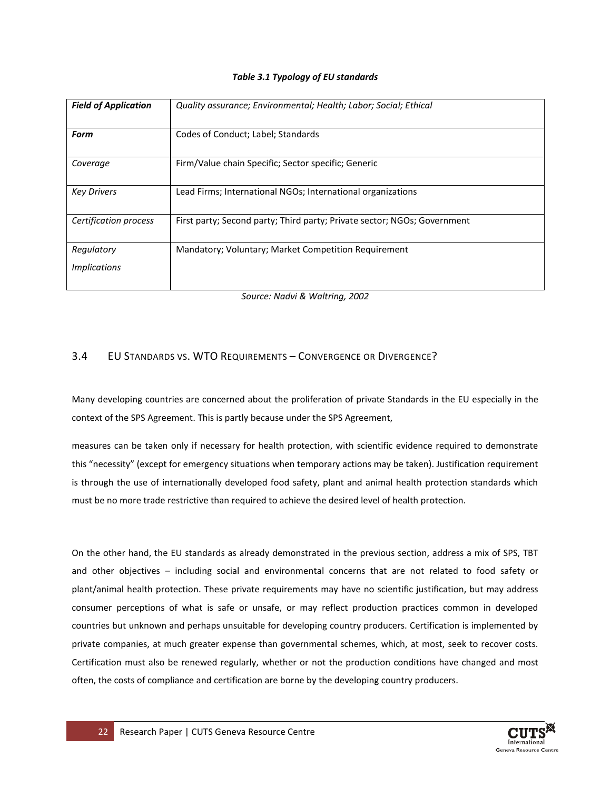#### *Table 3.1 Typology of EU standards*

| <b>Field of Application</b>       | Quality assurance; Environmental; Health; Labor; Social; Ethical         |
|-----------------------------------|--------------------------------------------------------------------------|
| Form                              | Codes of Conduct; Label; Standards                                       |
| Coverage                          | Firm/Value chain Specific; Sector specific; Generic                      |
| <b>Key Drivers</b>                | Lead Firms; International NGOs; International organizations              |
| Certification process             | First party; Second party; Third party; Private sector; NGOs; Government |
| Regulatory<br><i>Implications</i> | Mandatory: Voluntary: Market Competition Requirement                     |

*Source: Nadvi & Waltring, 2002*

## <span id="page-21-0"></span>3.4 EU STANDARDS VS. WTO REQUIREMENTS – CONVERGENCE OR DIVERGENCE?

Many developing countries are concerned about the proliferation of private Standards in the EU especially in the context of the SPS Agreement. This is partly because under the SPS Agreement,

measures can be taken only if necessary for health protection, with scientific evidence required to demonstrate this "necessity" (except for emergency situations when temporary actions may be taken). Justification requirement is through the use of internationally developed food safety, plant and animal health protection standards which must be no more trade restrictive than required to achieve the desired level of health protection.

On the other hand, the EU standards as already demonstrated in the previous section, address a mix of SPS, TBT and other objectives – including social and environmental concerns that are not related to food safety or plant/animal health protection. These private requirements may have no scientific justification, but may address consumer perceptions of what is safe or unsafe, or may reflect production practices common in developed countries but unknown and perhaps unsuitable for developing country producers. Certification is implemented by private companies, at much greater expense than governmental schemes, which, at most, seek to recover costs. Certification must also be renewed regularly, whether or not the production conditions have changed and most often, the costs of compliance and certification are borne by the developing country producers.

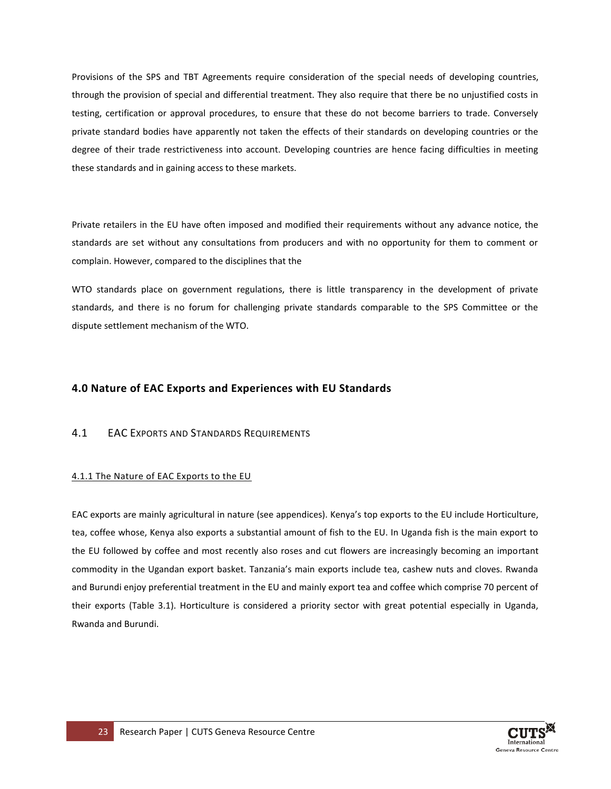Provisions of the SPS and TBT Agreements require consideration of the special needs of developing countries, through the provision of special and differential treatment. They also require that there be no unjustified costs in testing, certification or approval procedures, to ensure that these do not become barriers to trade. Conversely private standard bodies have apparently not taken the effects of their standards on developing countries or the degree of their trade restrictiveness into account. Developing countries are hence facing difficulties in meeting these standards and in gaining access to these markets.

Private retailers in the EU have often imposed and modified their requirements without any advance notice, the standards are set without any consultations from producers and with no opportunity for them to comment or complain. However, compared to the disciplines that the

WTO standards place on government regulations, there is little transparency in the development of private standards, and there is no forum for challenging private standards comparable to the SPS Committee or the dispute settlement mechanism of the WTO.

## <span id="page-22-0"></span>**4.0 Nature of EAC Exports and Experiences with EU Standards**

## <span id="page-22-1"></span>4.1 EAC EXPORTS AND STANDARDS REQUIREMENTS

## <span id="page-22-2"></span>4.1.1 The Nature of EAC Exports to the EU

EAC exports are mainly agricultural in nature (see appendices). Kenya's top exports to the EU include Horticulture, tea, coffee whose, Kenya also exports a substantial amount of fish to the EU. In Uganda fish is the main export to the EU followed by coffee and most recently also roses and cut flowers are increasingly becoming an important commodity in the Ugandan export basket. Tanzania's main exports include tea, cashew nuts and cloves. Rwanda and Burundi enjoy preferential treatment in the EU and mainly export tea and coffee which comprise 70 percent of their exports (Table 3.1). Horticulture is considered a priority sector with great potential especially in Uganda, Rwanda and Burundi.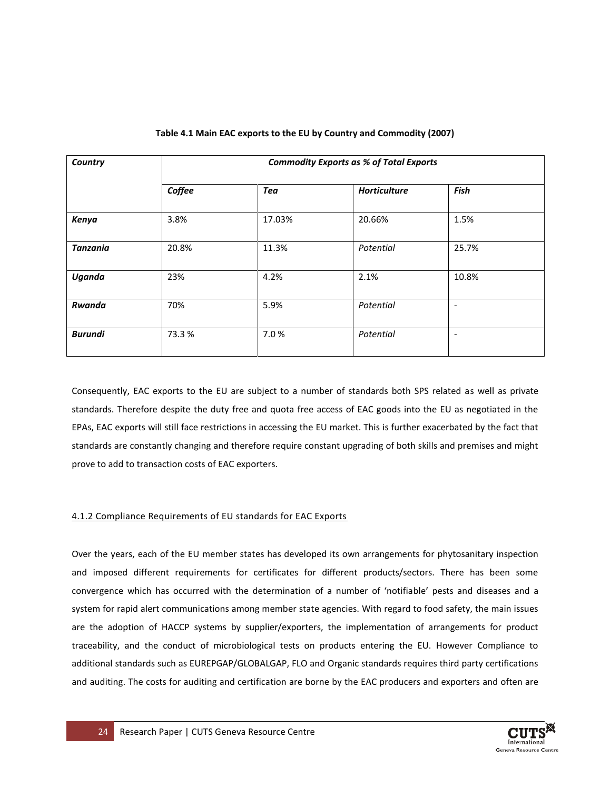| Country         |        | <b>Commodity Exports as % of Total Exports</b> |                     |                          |  |  |  |  |  |
|-----------------|--------|------------------------------------------------|---------------------|--------------------------|--|--|--|--|--|
|                 | Coffee | Tea                                            | <b>Horticulture</b> | <b>Fish</b>              |  |  |  |  |  |
| Kenya           | 3.8%   | 17.03%                                         | 20.66%              | 1.5%                     |  |  |  |  |  |
| <b>Tanzania</b> | 20.8%  | 11.3%                                          | Potential           | 25.7%                    |  |  |  |  |  |
| Uganda          | 23%    | 4.2%                                           | 2.1%                | 10.8%                    |  |  |  |  |  |
| Rwanda          | 70%    | 5.9%                                           | Potential           | ٠                        |  |  |  |  |  |
| <b>Burundi</b>  | 73.3%  | 7.0%                                           | Potential           | $\overline{\phantom{a}}$ |  |  |  |  |  |

## **Table 4.1 Main EAC exports to the EU by Country and Commodity (2007)**

Consequently, EAC exports to the EU are subject to a number of standards both SPS related as well as private standards. Therefore despite the duty free and quota free access of EAC goods into the EU as negotiated in the EPAs, EAC exports will still face restrictions in accessing the EU market. This is further exacerbated by the fact that standards are constantly changing and therefore require constant upgrading of both skills and premises and might prove to add to transaction costs of EAC exporters.

#### <span id="page-23-0"></span>4.1.2 Compliance Requirements of EU standards for EAC Exports

Over the years, each of the EU member states has developed its own arrangements for phytosanitary inspection and imposed different requirements for certificates for different products/sectors. There has been some convergence which has occurred with the determination of a number of 'notifiable' pests and diseases and a system for rapid alert communications among member state agencies. With regard to food safety, the main issues are the adoption of HACCP systems by supplier/exporters, the implementation of arrangements for product traceability, and the conduct of microbiological tests on products entering the EU. However Compliance to additional standards such as EUREPGAP/GLOBALGAP, FLO and Organic standards requires third party certifications and auditing. The costs for auditing and certification are borne by the EAC producers and exporters and often are

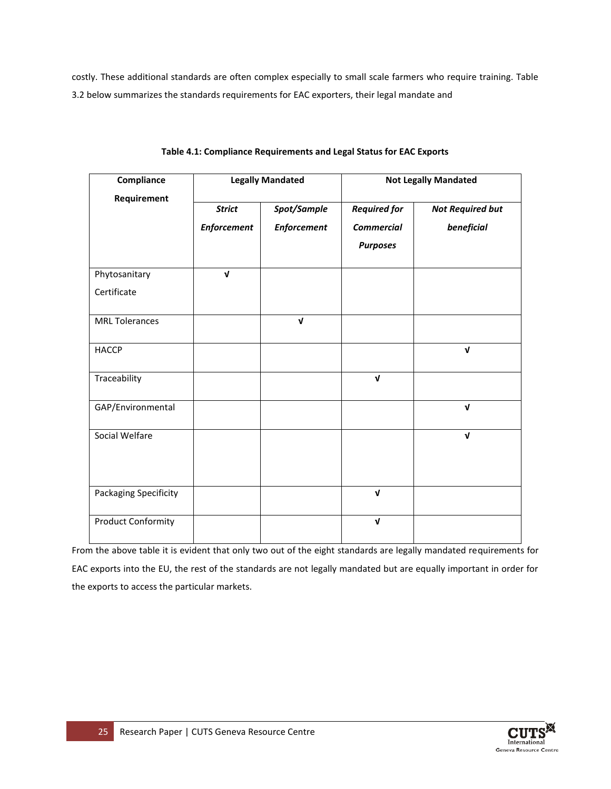costly. These additional standards are often complex especially to small scale farmers who require training. Table 3.2 below summarizes the standards requirements for EAC exporters, their legal mandate and

| Compliance                |                                     | <b>Legally Mandated</b>           | <b>Not Legally Mandated</b>                                 |                                       |  |  |
|---------------------------|-------------------------------------|-----------------------------------|-------------------------------------------------------------|---------------------------------------|--|--|
| Requirement               | <b>Strict</b><br><b>Enforcement</b> | Spot/Sample<br><b>Enforcement</b> | <b>Required for</b><br><b>Commercial</b><br><b>Purposes</b> | <b>Not Required but</b><br>beneficial |  |  |
| Phytosanitary             | $\mathbf{v}$                        |                                   |                                                             |                                       |  |  |
| Certificate               |                                     |                                   |                                                             |                                       |  |  |
| <b>MRL Tolerances</b>     |                                     | $\sqrt{ }$                        |                                                             |                                       |  |  |
| <b>HACCP</b>              |                                     |                                   |                                                             | $\mathbf v$                           |  |  |
| Traceability              |                                     |                                   | $\mathbf{v}$                                                |                                       |  |  |
| GAP/Environmental         |                                     |                                   |                                                             | $\mathbf{v}$                          |  |  |
| Social Welfare            |                                     |                                   |                                                             | $\mathbf{v}$                          |  |  |
| Packaging Specificity     |                                     |                                   | $\mathbf{v}$                                                |                                       |  |  |
| <b>Product Conformity</b> |                                     |                                   | $\sqrt{ }$                                                  |                                       |  |  |

## **Table 4.1: Compliance Requirements and Legal Status for EAC Exports**

From the above table it is evident that only two out of the eight standards are legally mandated requirements for EAC exports into the EU, the rest of the standards are not legally mandated but are equally important in order for the exports to access the particular markets.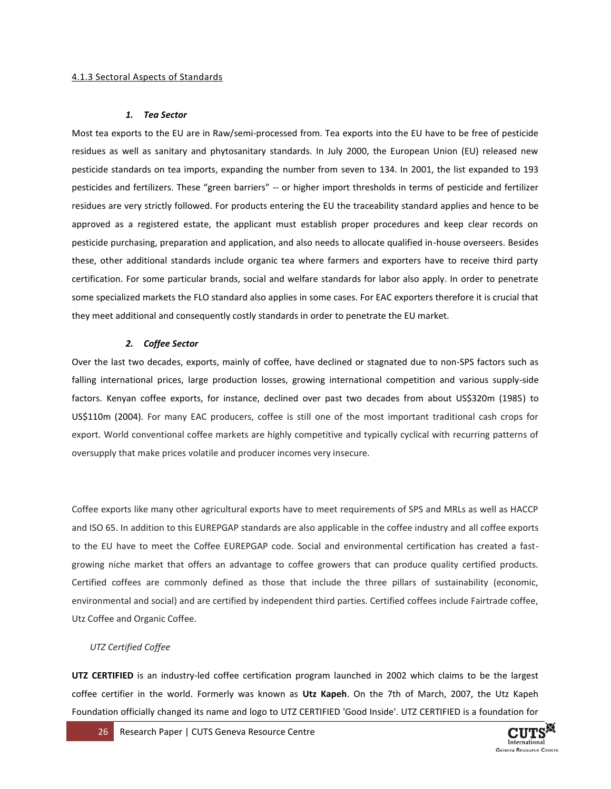#### <span id="page-25-0"></span>4.1.3 Sectoral Aspects of Standards

#### *1. Tea Sector*

Most tea exports to the EU are in Raw/semi-processed from. Tea exports into the EU have to be free of pesticide residues as well as sanitary and phytosanitary standards. In July 2000, the European Union (EU) released new pesticide standards on tea imports, expanding the number from seven to 134. In 2001, the list expanded to 193 pesticides and fertilizers. These "green barriers" -- or higher import thresholds in terms of pesticide and fertilizer residues are very strictly followed. For products entering the EU the traceability standard applies and hence to be approved as a registered estate, the applicant must establish proper procedures and keep clear records on pesticide purchasing, preparation and application, and also needs to allocate qualified in-house overseers. Besides these, other additional standards include organic tea where farmers and exporters have to receive third party certification. For some particular brands, social and welfare standards for labor also apply. In order to penetrate some specialized markets the FLO standard also applies in some cases. For EAC exporters therefore it is crucial that they meet additional and consequently costly standards in order to penetrate the EU market.

#### *2. Coffee Sector*

Over the last two decades, exports, mainly of coffee, have declined or stagnated due to non-SPS factors such as falling international prices, large production losses, growing international competition and various supply-side factors. Kenyan coffee exports, for instance, declined over past two decades from about US\$320m (1985) to US\$110m (2004). For many EAC producers, coffee is still one of the most important traditional cash crops for export. World conventional coffee markets are highly competitive and typically cyclical with recurring patterns of oversupply that make prices volatile and producer incomes very insecure.

Coffee exports like many other agricultural exports have to meet requirements of SPS and MRLs as well as HACCP and ISO 65. In addition to this EUREPGAP standards are also applicable in the coffee industry and all coffee exports to the EU have to meet the Coffee EUREPGAP code. Social and environmental certification has created a fastgrowing niche market that offers an advantage to coffee growers that can produce quality certified products. Certified coffees are commonly defined as those that include the three pillars of sustainability (economic, environmental and social) and are certified by independent third parties. Certified coffees include Fairtrade coffee, Utz Coffee and Organic Coffee.

#### *UTZ Certified Coffee*

**UTZ CERTIFIED** is an industry-led coffee certification program launched in 2002 which claims to be the largest coffee certifier in the world. Formerly was known as **Utz Kapeh**. On the 7th of March, 2007, the Utz Kapeh Foundation officially changed its name and logo to UTZ CERTIFIED 'Good Inside'. UTZ CERTIFIED is a foundation for

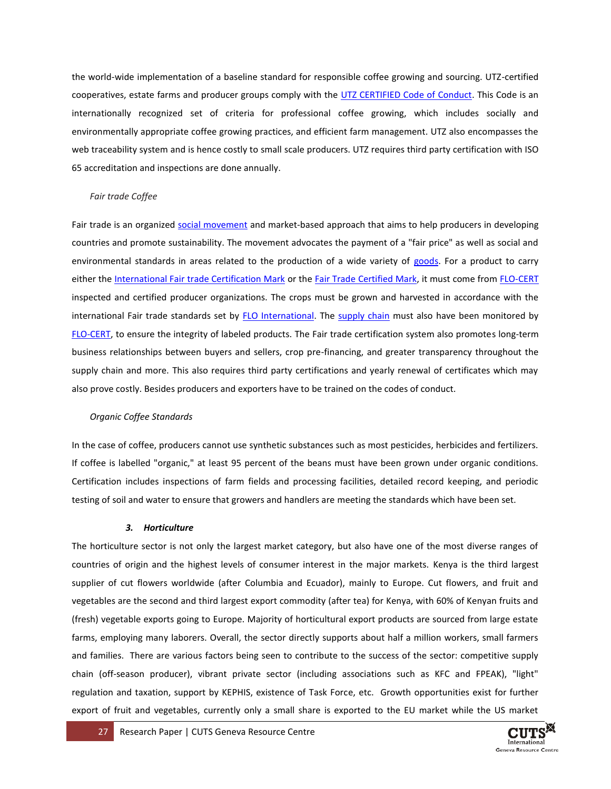the world-wide implementation of a baseline standard for responsible coffee growing and sourcing. UTZ-certified cooperatives, estate farms and producer groups comply with the [UTZ CERTIFIED Code of Conduct.](http://www.utzcertified.org/index.php?pageID=111&showdoc=111_0_9) This Code is an internationally recognized set of criteria for professional coffee growing, which includes socially and environmentally appropriate coffee growing practices, and efficient farm management. UTZ also encompasses the web traceability system and is hence costly to small scale producers. UTZ requires third party certification with ISO 65 accreditation and inspections are done annually.

#### *Fair trade Coffee*

Fair trade is an organized [social movement](http://en.wikipedia.org/wiki/Social_movement) and market-based approach that aims to help producers in developing countries and promote sustainability. The movement advocates the payment of a "fair price" as well as social and environmental standards in areas related to the production of a wide variety of [goods.](http://en.wikipedia.org/wiki/Goods) For a product to carry either the [International Fair trade Certification Mark](http://en.wikipedia.org/wiki/International_Fairtrade_Certification_Mark) or th[e Fair Trade Certified Mark,](http://en.wikipedia.org/wiki/Fair_Trade_Certified_Mark) it must come from [FLO-CERT](http://en.wikipedia.org/wiki/FLO-CERT) inspected and certified producer organizations. The crops must be grown and harvested in accordance with the international Fair trade standards set by [FLO International.](http://en.wikipedia.org/wiki/FLO_International) The [supply chain](http://en.wikipedia.org/wiki/Supply_chain) must also have been monitored by [FLO-CERT,](http://en.wikipedia.org/wiki/FLO-CERT) to ensure the integrity of labeled products. The Fair trade certification system also promotes long-term business relationships between buyers and sellers, crop pre-financing, and greater transparency throughout the supply chain and more. This also requires third party certifications and yearly renewal of certificates which may also prove costly. Besides producers and exporters have to be trained on the codes of conduct.

#### *Organic Coffee Standards*

In the case of coffee, producers cannot use synthetic substances such as most pesticides, herbicides and fertilizers. If coffee is labelled "organic," at least 95 percent of the beans must have been grown under organic conditions. Certification includes inspections of farm fields and processing facilities, detailed record keeping, and periodic testing of soil and water to ensure that growers and handlers are meeting the standards which have been set.

#### *3. Horticulture*

The horticulture sector is not only the largest market category, but also have one of the most diverse ranges of countries of origin and the highest levels of consumer interest in the major markets. Kenya is the third largest supplier of cut flowers worldwide (after Columbia and Ecuador), mainly to Europe. Cut flowers, and fruit and vegetables are the second and third largest export commodity (after tea) for Kenya, with 60% of Kenyan fruits and (fresh) vegetable exports going to Europe. Majority of horticultural export products are sourced from large estate farms, employing many laborers. Overall, the sector directly supports about half a million workers, small farmers and families. There are various factors being seen to contribute to the success of the sector: competitive supply chain (off-season producer), vibrant private sector (including associations such as KFC and FPEAK), "light" regulation and taxation, support by KEPHIS, existence of Task Force, etc. Growth opportunities exist for further export of fruit and vegetables, currently only a small share is exported to the EU market while the US market

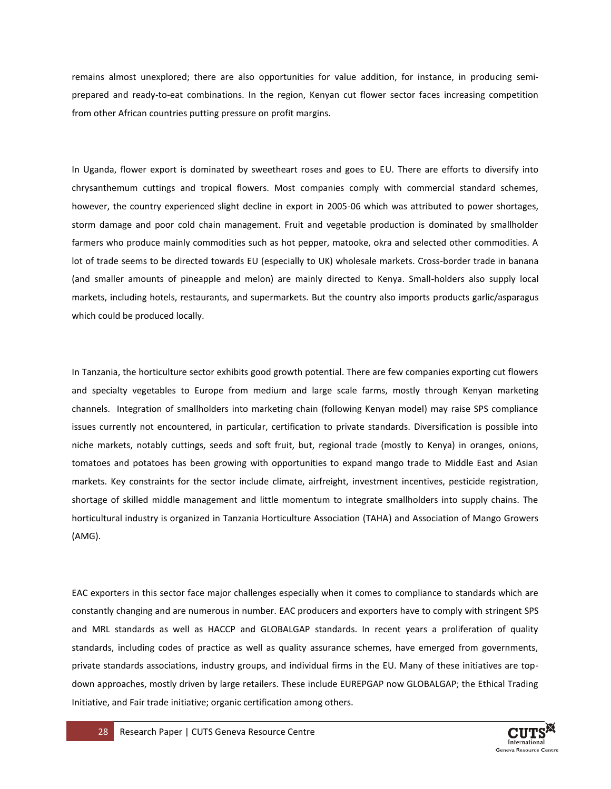remains almost unexplored; there are also opportunities for value addition, for instance, in producing semiprepared and ready-to-eat combinations. In the region, Kenyan cut flower sector faces increasing competition from other African countries putting pressure on profit margins.

In Uganda, flower export is dominated by sweetheart roses and goes to EU. There are efforts to diversify into chrysanthemum cuttings and tropical flowers. Most companies comply with commercial standard schemes, however, the country experienced slight decline in export in 2005-06 which was attributed to power shortages, storm damage and poor cold chain management. Fruit and vegetable production is dominated by smallholder farmers who produce mainly commodities such as hot pepper, matooke, okra and selected other commodities. A lot of trade seems to be directed towards EU (especially to UK) wholesale markets. Cross-border trade in banana (and smaller amounts of pineapple and melon) are mainly directed to Kenya. Small-holders also supply local markets, including hotels, restaurants, and supermarkets. But the country also imports products garlic/asparagus which could be produced locally.

In Tanzania, the horticulture sector exhibits good growth potential. There are few companies exporting cut flowers and specialty vegetables to Europe from medium and large scale farms, mostly through Kenyan marketing channels. Integration of smallholders into marketing chain (following Kenyan model) may raise SPS compliance issues currently not encountered, in particular, certification to private standards. Diversification is possible into niche markets, notably cuttings, seeds and soft fruit, but, regional trade (mostly to Kenya) in oranges, onions, tomatoes and potatoes has been growing with opportunities to expand mango trade to Middle East and Asian markets. Key constraints for the sector include climate, airfreight, investment incentives, pesticide registration, shortage of skilled middle management and little momentum to integrate smallholders into supply chains. The horticultural industry is organized in Tanzania Horticulture Association (TAHA) and Association of Mango Growers (AMG).

EAC exporters in this sector face major challenges especially when it comes to compliance to standards which are constantly changing and are numerous in number. EAC producers and exporters have to comply with stringent SPS and MRL standards as well as HACCP and GLOBALGAP standards. In recent years a proliferation of quality standards, including codes of practice as well as quality assurance schemes, have emerged from governments, private standards associations, industry groups, and individual firms in the EU. Many of these initiatives are topdown approaches, mostly driven by large retailers. These include EUREPGAP now GLOBALGAP; the Ethical Trading Initiative, and Fair trade initiative; organic certification among others.

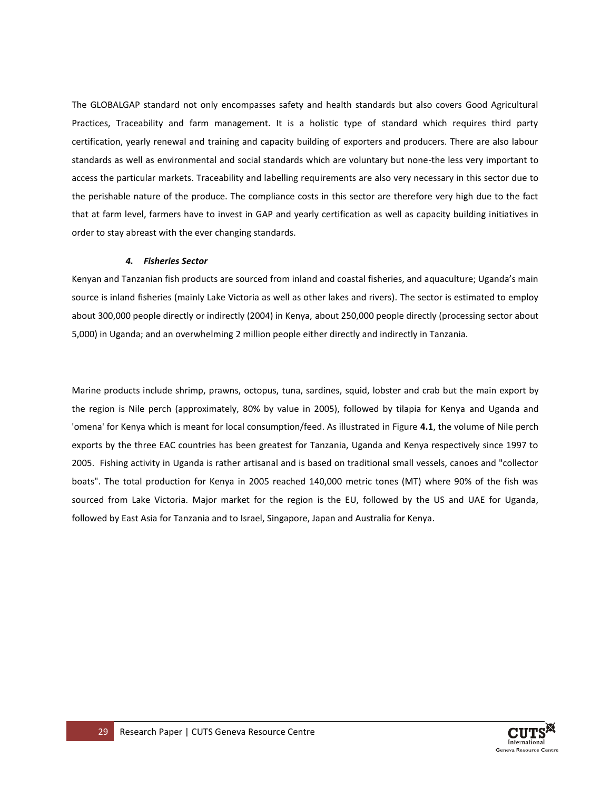The GLOBALGAP standard not only encompasses safety and health standards but also covers Good Agricultural Practices, Traceability and farm management. It is a holistic type of standard which requires third party certification, yearly renewal and training and capacity building of exporters and producers. There are also labour standards as well as environmental and social standards which are voluntary but none-the less very important to access the particular markets. Traceability and labelling requirements are also very necessary in this sector due to the perishable nature of the produce. The compliance costs in this sector are therefore very high due to the fact that at farm level, farmers have to invest in GAP and yearly certification as well as capacity building initiatives in order to stay abreast with the ever changing standards.

#### *4. Fisheries Sector*

Kenyan and Tanzanian fish products are sourced from inland and coastal fisheries, and aquaculture; Uganda's main source is inland fisheries (mainly Lake Victoria as well as other lakes and rivers). The sector is estimated to employ about 300,000 people directly or indirectly (2004) in Kenya, about 250,000 people directly (processing sector about 5,000) in Uganda; and an overwhelming 2 million people either directly and indirectly in Tanzania.

Marine products include shrimp, prawns, octopus, tuna, sardines, squid, lobster and crab but the main export by the region is Nile perch (approximately, 80% by value in 2005), followed by tilapia for Kenya and Uganda and 'omena' for Kenya which is meant for local consumption/feed. As illustrated in Figure **4.1**, the volume of Nile perch exports by the three EAC countries has been greatest for Tanzania, Uganda and Kenya respectively since 1997 to 2005. Fishing activity in Uganda is rather artisanal and is based on traditional small vessels, canoes and "collector boats". The total production for Kenya in 2005 reached 140,000 metric tones (MT) where 90% of the fish was sourced from Lake Victoria. Major market for the region is the EU, followed by the US and UAE for Uganda, followed by East Asia for Tanzania and to Israel, Singapore, Japan and Australia for Kenya.

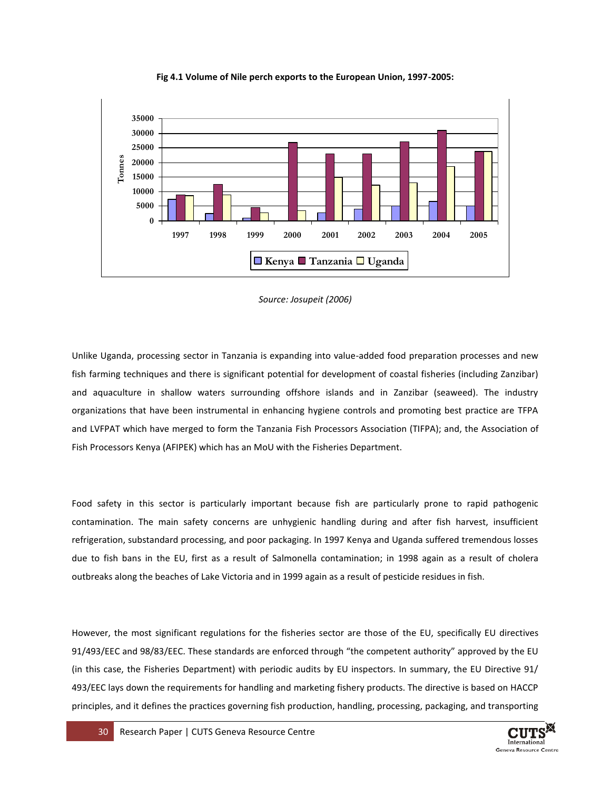

**Fig 4.1 Volume of Nile perch exports to the European Union, 1997-2005:**

Unlike Uganda, processing sector in Tanzania is expanding into value-added food preparation processes and new fish farming techniques and there is significant potential for development of coastal fisheries (including Zanzibar) and aquaculture in shallow waters surrounding offshore islands and in Zanzibar (seaweed). The industry organizations that have been instrumental in enhancing hygiene controls and promoting best practice are TFPA and LVFPAT which have merged to form the Tanzania Fish Processors Association (TIFPA); and, the Association of Fish Processors Kenya (AFIPEK) which has an MoU with the Fisheries Department.

Food safety in this sector is particularly important because fish are particularly prone to rapid pathogenic contamination. The main safety concerns are unhygienic handling during and after fish harvest, insufficient refrigeration, substandard processing, and poor packaging. In 1997 Kenya and Uganda suffered tremendous losses due to fish bans in the EU, first as a result of Salmonella contamination; in 1998 again as a result of cholera outbreaks along the beaches of Lake Victoria and in 1999 again as a result of pesticide residues in fish.

However, the most significant regulations for the fisheries sector are those of the EU, specifically EU directives 91/493/EEC and 98/83/EEC. These standards are enforced through "the competent authority" approved by the EU (in this case, the Fisheries Department) with periodic audits by EU inspectors. In summary, the EU Directive 91/ 493/EEC lays down the requirements for handling and marketing fishery products. The directive is based on HACCP principles, and it defines the practices governing fish production, handling, processing, packaging, and transporting

![](_page_29_Picture_7.jpeg)

*Source: Josupeit (2006)*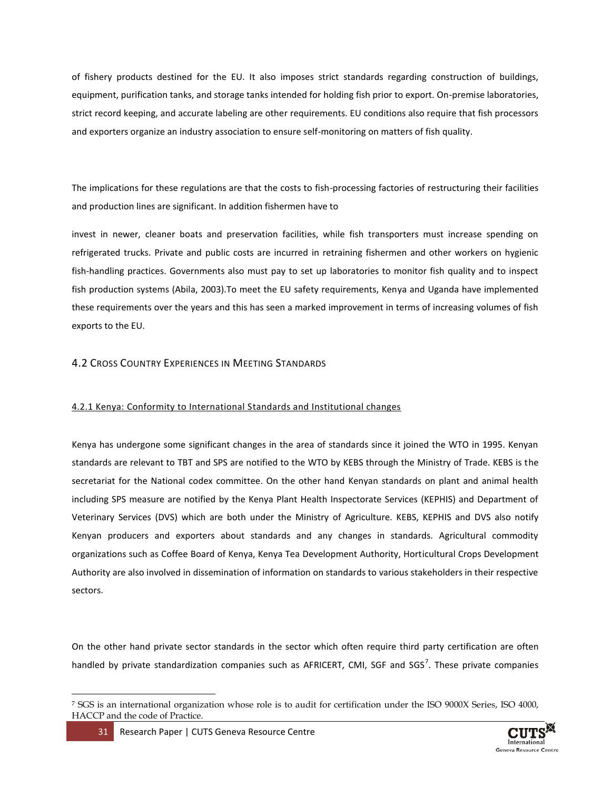of fishery products destined for the EU. It also imposes strict standards regarding construction of buildings, equipment, purification tanks, and storage tanks intended for holding fish prior to export. On-premise laboratories, strict record keeping, and accurate labeling are other requirements. EU conditions also require that fish processors and exporters organize an industry association to ensure self-monitoring on matters of fish quality.

The implications for these regulations are that the costs to fish-processing factories of restructuring their facilities and production lines are significant. In addition fishermen have to

invest in newer, cleaner boats and preservation facilities, while fish transporters must increase spending on refrigerated trucks. Private and public costs are incurred in retraining fishermen and other workers on hygienic fish-handling practices. Governments also must pay to set up laboratories to monitor fish quality and to inspect fish production systems (Abila, 2003).To meet the EU safety requirements, Kenya and Uganda have implemented these requirements over the years and this has seen a marked improvement in terms of increasing volumes of fish exports to the EU.

## <span id="page-30-0"></span>4.2 CROSS COUNTRY EXPERIENCES IN MEETING STANDARDS

#### <span id="page-30-1"></span>4.2.1 Kenya: Conformity to International Standards and Institutional changes

Kenya has undergone some significant changes in the area of standards since it joined the WTO in 1995. Kenyan standards are relevant to TBT and SPS are notified to the WTO by KEBS through the Ministry of Trade. KEBS is the secretariat for the National codex committee. On the other hand Kenyan standards on plant and animal health including SPS measure are notified by the Kenya Plant Health Inspectorate Services (KEPHIS) and Department of Veterinary Services (DVS) which are both under the Ministry of Agriculture. KEBS, KEPHIS and DVS also notify Kenyan producers and exporters about standards and any changes in standards. Agricultural commodity organizations such as Coffee Board of Kenya, Kenya Tea Development Authority, Horticultural Crops Development Authority are also involved in dissemination of information on standards to various stakeholders in their respective sectors.

On the other hand private sector standards in the sector which often require third party certification are often handled by private standardization companies such as AFRICERT, CMI, SGF and SGS<sup>7</sup>. These private companies

 $\overline{a}$ 

![](_page_30_Picture_9.jpeg)

<sup>7</sup> SGS is an international organization whose role is to audit for certification under the ISO 9000X Series, ISO 4000, HACCP and the code of Practice.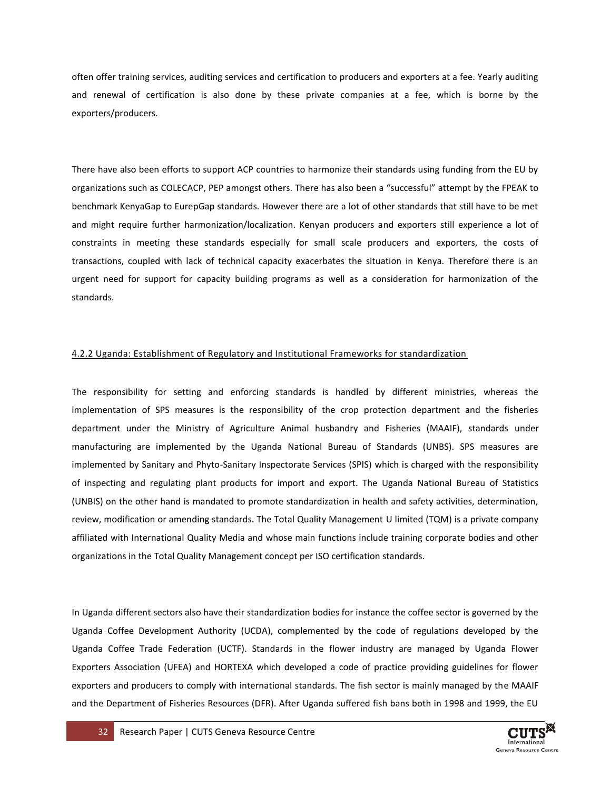often offer training services, auditing services and certification to producers and exporters at a fee. Yearly auditing and renewal of certification is also done by these private companies at a fee, which is borne by the exporters/producers.

There have also been efforts to support ACP countries to harmonize their standards using funding from the EU by organizations such as COLECACP, PEP amongst others. There has also been a "successful" attempt by the FPEAK to benchmark KenyaGap to EurepGap standards. However there are a lot of other standards that still have to be met and might require further harmonization/localization. Kenyan producers and exporters still experience a lot of constraints in meeting these standards especially for small scale producers and exporters, the costs of transactions, coupled with lack of technical capacity exacerbates the situation in Kenya. Therefore there is an urgent need for support for capacity building programs as well as a consideration for harmonization of the standards.

#### <span id="page-31-0"></span>4.2.2 Uganda: Establishment of Regulatory and Institutional Frameworks for standardization

The responsibility for setting and enforcing standards is handled by different ministries, whereas the implementation of SPS measures is the responsibility of the crop protection department and the fisheries department under the Ministry of Agriculture Animal husbandry and Fisheries (MAAIF), standards under manufacturing are implemented by the Uganda National Bureau of Standards (UNBS). SPS measures are implemented by Sanitary and Phyto-Sanitary Inspectorate Services (SPIS) which is charged with the responsibility of inspecting and regulating plant products for import and export. The Uganda National Bureau of Statistics (UNBIS) on the other hand is mandated to promote standardization in health and safety activities, determination, review, modification or amending standards. The Total Quality Management U limited (TQM) is a private company affiliated with International Quality Media and whose main functions include training corporate bodies and other organizations in the Total Quality Management concept per ISO certification standards.

In Uganda different sectors also have their standardization bodies for instance the coffee sector is governed by the Uganda Coffee Development Authority (UCDA), complemented by the code of regulations developed by the Uganda Coffee Trade Federation (UCTF). Standards in the flower industry are managed by Uganda Flower Exporters Association (UFEA) and HORTEXA which developed a code of practice providing guidelines for flower exporters and producers to comply with international standards. The fish sector is mainly managed by the MAAIF and the Department of Fisheries Resources (DFR). After Uganda suffered fish bans both in 1998 and 1999, the EU

![](_page_31_Picture_6.jpeg)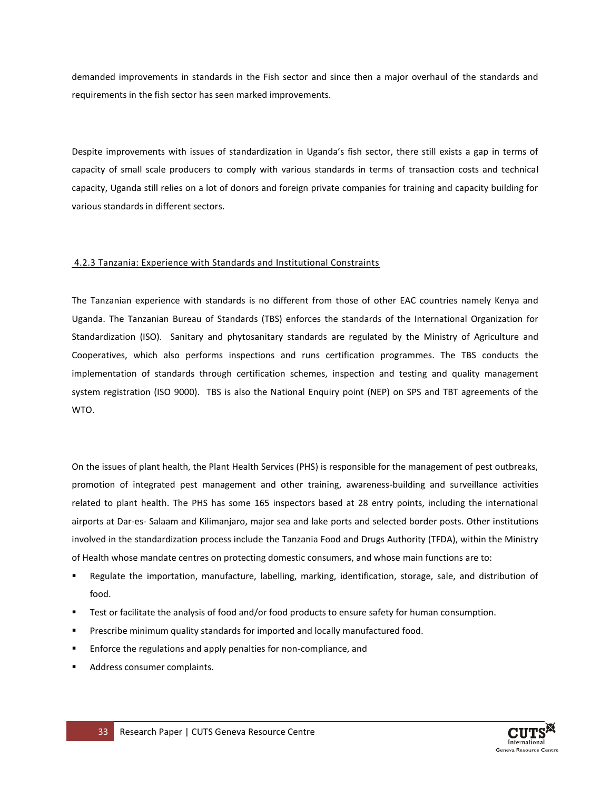demanded improvements in standards in the Fish sector and since then a major overhaul of the standards and requirements in the fish sector has seen marked improvements.

Despite improvements with issues of standardization in Uganda's fish sector, there still exists a gap in terms of capacity of small scale producers to comply with various standards in terms of transaction costs and technical capacity, Uganda still relies on a lot of donors and foreign private companies for training and capacity building for various standards in different sectors.

## <span id="page-32-0"></span>4.2.3 Tanzania: Experience with Standards and Institutional Constraints

The Tanzanian experience with standards is no different from those of other EAC countries namely Kenya and Uganda. The Tanzanian Bureau of Standards (TBS) enforces the standards of the International Organization for Standardization (ISO). Sanitary and phytosanitary standards are regulated by the Ministry of Agriculture and Cooperatives, which also performs inspections and runs certification programmes. The TBS conducts the implementation of standards through certification schemes, inspection and testing and quality management system registration (ISO 9000). TBS is also the National Enquiry point (NEP) on SPS and TBT agreements of the WTO.

On the issues of plant health, the Plant Health Services (PHS) is responsible for the management of pest outbreaks, promotion of integrated pest management and other training, awareness-building and surveillance activities related to plant health. The PHS has some 165 inspectors based at 28 entry points, including the international airports at Dar-es- Salaam and Kilimanjaro, major sea and lake ports and selected border posts. Other institutions involved in the standardization process include the Tanzania Food and Drugs Authority (TFDA), within the Ministry of Health whose mandate centres on protecting domestic consumers, and whose main functions are to:

- Regulate the importation, manufacture, labelling, marking, identification, storage, sale, and distribution of food.
- **Test or facilitate the analysis of food and/or food products to ensure safety for human consumption.**
- **Prescribe minimum quality standards for imported and locally manufactured food.**
- **Enforce the regulations and apply penalties for non-compliance, and**
- Address consumer complaints.

![](_page_32_Picture_11.jpeg)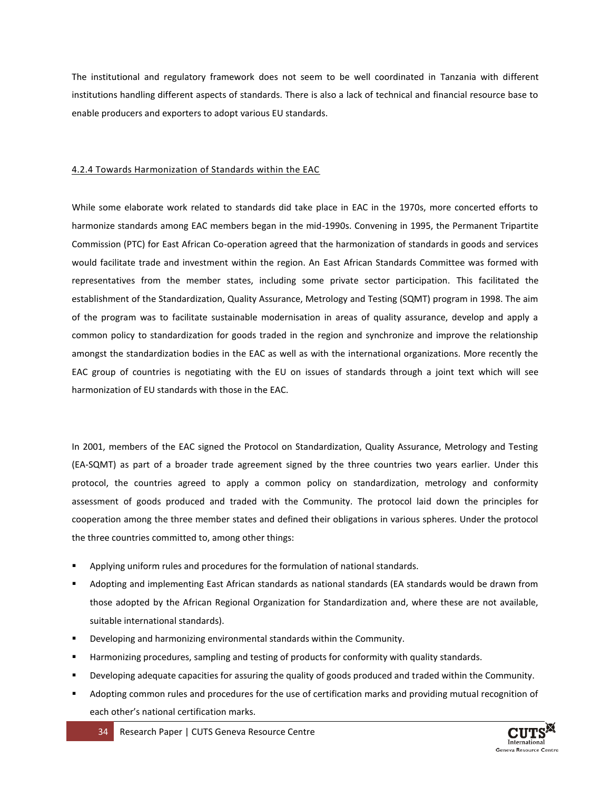The institutional and regulatory framework does not seem to be well coordinated in Tanzania with different institutions handling different aspects of standards. There is also a lack of technical and financial resource base to enable producers and exporters to adopt various EU standards.

#### <span id="page-33-0"></span>4.2.4 Towards Harmonization of Standards within the EAC

While some elaborate work related to standards did take place in EAC in the 1970s, more concerted efforts to harmonize standards among EAC members began in the mid-1990s. Convening in 1995, the Permanent Tripartite Commission (PTC) for East African Co-operation agreed that the harmonization of standards in goods and services would facilitate trade and investment within the region. An East African Standards Committee was formed with representatives from the member states, including some private sector participation. This facilitated the establishment of the Standardization, Quality Assurance, Metrology and Testing (SQMT) program in 1998. The aim of the program was to facilitate sustainable modernisation in areas of quality assurance, develop and apply a common policy to standardization for goods traded in the region and synchronize and improve the relationship amongst the standardization bodies in the EAC as well as with the international organizations. More recently the EAC group of countries is negotiating with the EU on issues of standards through a joint text which will see harmonization of EU standards with those in the EAC.

In 2001, members of the EAC signed the Protocol on Standardization, Quality Assurance, Metrology and Testing (EA-SQMT) as part of a broader trade agreement signed by the three countries two years earlier. Under this protocol, the countries agreed to apply a common policy on standardization, metrology and conformity assessment of goods produced and traded with the Community. The protocol laid down the principles for cooperation among the three member states and defined their obligations in various spheres. Under the protocol the three countries committed to, among other things:

- Applying uniform rules and procedures for the formulation of national standards.
- Adopting and implementing East African standards as national standards (EA standards would be drawn from those adopted by the African Regional Organization for Standardization and, where these are not available, suitable international standards).
- **Developing and harmonizing environmental standards within the Community.**
- Harmonizing procedures, sampling and testing of products for conformity with quality standards.
- Developing adequate capacities for assuring the quality of goods produced and traded within the Community.
- Adopting common rules and procedures for the use of certification marks and providing mutual recognition of each other's national certification marks.

![](_page_33_Picture_11.jpeg)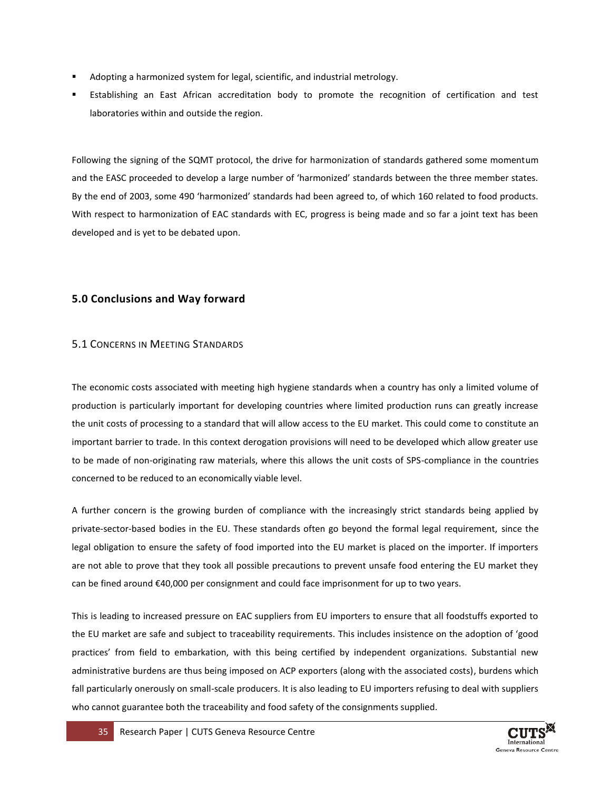- Adopting a harmonized system for legal, scientific, and industrial metrology.
- Establishing an East African accreditation body to promote the recognition of certification and test laboratories within and outside the region.

Following the signing of the SQMT protocol, the drive for harmonization of standards gathered some momentum and the EASC proceeded to develop a large number of 'harmonized' standards between the three member states. By the end of 2003, some 490 'harmonized' standards had been agreed to, of which 160 related to food products. With respect to harmonization of EAC standards with EC, progress is being made and so far a joint text has been developed and is yet to be debated upon.

## <span id="page-34-0"></span>**5.0 Conclusions and Way forward**

## <span id="page-34-1"></span>5.1 CONCERNS IN MEETING STANDARDS

The economic costs associated with meeting high hygiene standards when a country has only a limited volume of production is particularly important for developing countries where limited production runs can greatly increase the unit costs of processing to a standard that will allow access to the EU market. This could come to constitute an important barrier to trade. In this context derogation provisions will need to be developed which allow greater use to be made of non-originating raw materials, where this allows the unit costs of SPS-compliance in the countries concerned to be reduced to an economically viable level.

A further concern is the growing burden of compliance with the increasingly strict standards being applied by private-sector-based bodies in the EU. These standards often go beyond the formal legal requirement, since the legal obligation to ensure the safety of food imported into the EU market is placed on the importer. If importers are not able to prove that they took all possible precautions to prevent unsafe food entering the EU market they can be fined around €40,000 per consignment and could face imprisonment for up to two years.

This is leading to increased pressure on EAC suppliers from EU importers to ensure that all foodstuffs exported to the EU market are safe and subject to traceability requirements. This includes insistence on the adoption of 'good practices' from field to embarkation, with this being certified by independent organizations. Substantial new administrative burdens are thus being imposed on ACP exporters (along with the associated costs), burdens which fall particularly onerously on small-scale producers. It is also leading to EU importers refusing to deal with suppliers who cannot guarantee both the traceability and food safety of the consignments supplied.

![](_page_34_Picture_9.jpeg)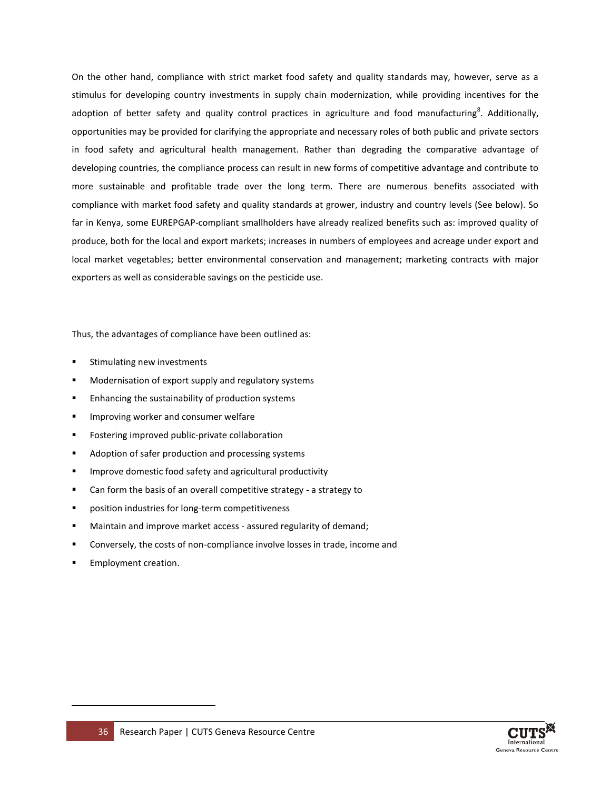On the other hand, compliance with strict market food safety and quality standards may, however, serve as a stimulus for developing country investments in supply chain modernization, while providing incentives for the adoption of better safety and quality control practices in agriculture and food manufacturing<sup>8</sup>. Additionally, opportunities may be provided for clarifying the appropriate and necessary roles of both public and private sectors in food safety and agricultural health management. Rather than degrading the comparative advantage of developing countries, the compliance process can result in new forms of competitive advantage and contribute to more sustainable and profitable trade over the long term. There are numerous benefits associated with compliance with market food safety and quality standards at grower, industry and country levels (See below). So far in Kenya, some EUREPGAP-compliant smallholders have already realized benefits such as: improved quality of produce, both for the local and export markets; increases in numbers of employees and acreage under export and local market vegetables; better environmental conservation and management; marketing contracts with major exporters as well as considerable savings on the pesticide use.

Thus, the advantages of compliance have been outlined as:

- Stimulating new investments
- Modernisation of export supply and regulatory systems
- **Enhancing the sustainability of production systems**
- Improving worker and consumer welfare
- **Fig. 5** Fostering improved public-private collaboration
- **Adoption of safer production and processing systems**
- Improve domestic food safety and agricultural productivity
- Can form the basis of an overall competitive strategy a strategy to
- **Phonolen** position industries for long-term competitiveness
- Maintain and improve market access assured regularity of demand;
- Conversely, the costs of non-compliance involve losses in trade, income and
- Employment creation.

 $\overline{a}$ 

![](_page_35_Picture_14.jpeg)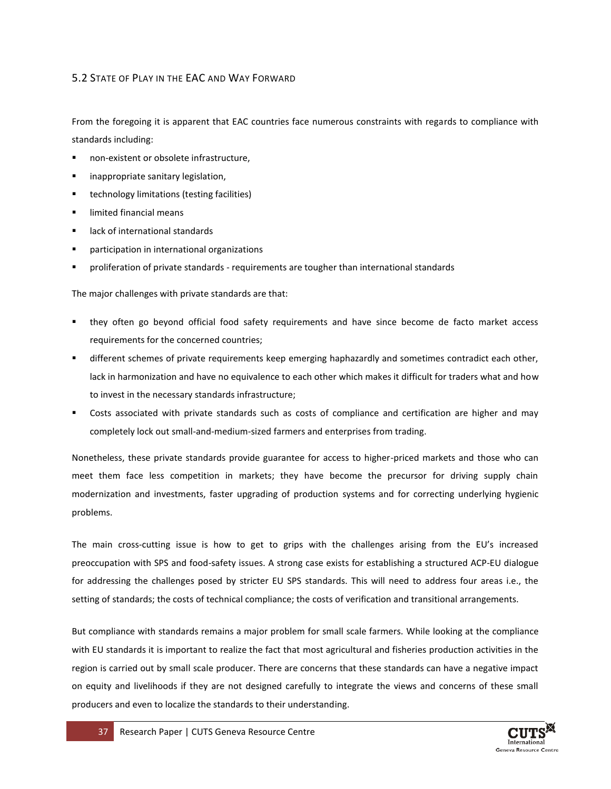## <span id="page-36-0"></span>5.2 STATE OF PLAY IN THE EAC AND WAY FORWARD

From the foregoing it is apparent that EAC countries face numerous constraints with regards to compliance with standards including:

- non-existent or obsolete infrastructure,
- inappropriate sanitary legislation,
- technology limitations (testing facilities)
- **I** limited financial means
- lack of international standards
- participation in international organizations
- proliferation of private standards requirements are tougher than international standards

The major challenges with private standards are that:

- they often go beyond official food safety requirements and have since become de facto market access requirements for the concerned countries;
- different schemes of private requirements keep emerging haphazardly and sometimes contradict each other, lack in harmonization and have no equivalence to each other which makes it difficult for traders what and how to invest in the necessary standards infrastructure;
- Costs associated with private standards such as costs of compliance and certification are higher and may completely lock out small-and-medium-sized farmers and enterprises from trading.

Nonetheless, these private standards provide guarantee for access to higher-priced markets and those who can meet them face less competition in markets; they have become the precursor for driving supply chain modernization and investments, faster upgrading of production systems and for correcting underlying hygienic problems.

The main cross-cutting issue is how to get to grips with the challenges arising from the EU's increased preoccupation with SPS and food-safety issues. A strong case exists for establishing a structured ACP-EU dialogue for addressing the challenges posed by stricter EU SPS standards. This will need to address four areas i.e., the setting of standards; the costs of technical compliance; the costs of verification and transitional arrangements.

But compliance with standards remains a major problem for small scale farmers. While looking at the compliance with EU standards it is important to realize the fact that most agricultural and fisheries production activities in the region is carried out by small scale producer. There are concerns that these standards can have a negative impact on equity and livelihoods if they are not designed carefully to integrate the views and concerns of these small producers and even to localize the standards to their understanding.

![](_page_36_Picture_17.jpeg)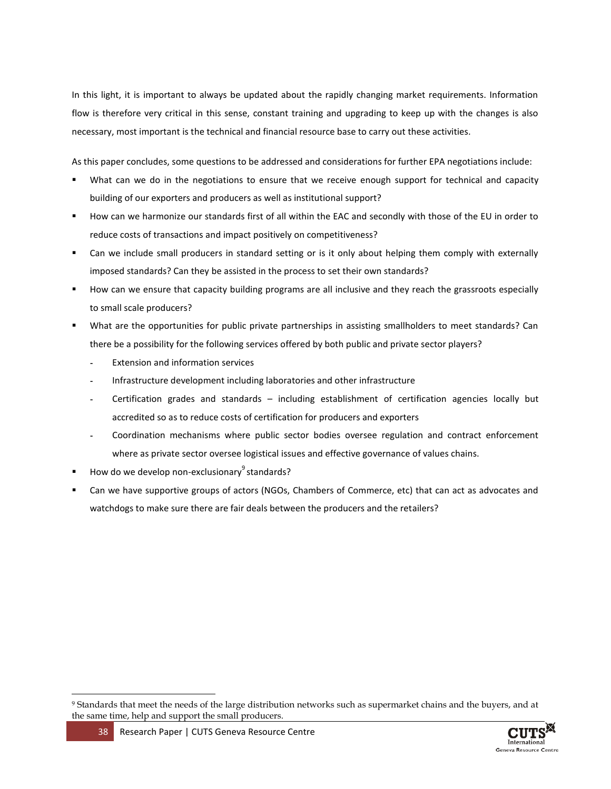In this light, it is important to always be updated about the rapidly changing market requirements. Information flow is therefore very critical in this sense, constant training and upgrading to keep up with the changes is also necessary, most important is the technical and financial resource base to carry out these activities.

As this paper concludes, some questions to be addressed and considerations for further EPA negotiations include:

- What can we do in the negotiations to ensure that we receive enough support for technical and capacity building of our exporters and producers as well as institutional support?
- How can we harmonize our standards first of all within the EAC and secondly with those of the EU in order to reduce costs of transactions and impact positively on competitiveness?
- Can we include small producers in standard setting or is it only about helping them comply with externally imposed standards? Can they be assisted in the process to set their own standards?
- How can we ensure that capacity building programs are all inclusive and they reach the grassroots especially to small scale producers?
- What are the opportunities for public private partnerships in assisting smallholders to meet standards? Can there be a possibility for the following services offered by both public and private sector players?
	- Extension and information services
	- Infrastructure development including laboratories and other infrastructure
	- Certification grades and standards including establishment of certification agencies locally but accredited so as to reduce costs of certification for producers and exporters
	- Coordination mechanisms where public sector bodies oversee regulation and contract enforcement where as private sector oversee logistical issues and effective governance of values chains.
- $\blacksquare$  How do we develop non-exclusionary standards?
- Can we have supportive groups of actors (NGOs, Chambers of Commerce, etc) that can act as advocates and watchdogs to make sure there are fair deals between the producers and the retailers?

 $\overline{a}$ 

![](_page_37_Picture_15.jpeg)

<sup>9</sup> Standards that meet the needs of the large distribution networks such as supermarket chains and the buyers, and at the same time, help and support the small producers.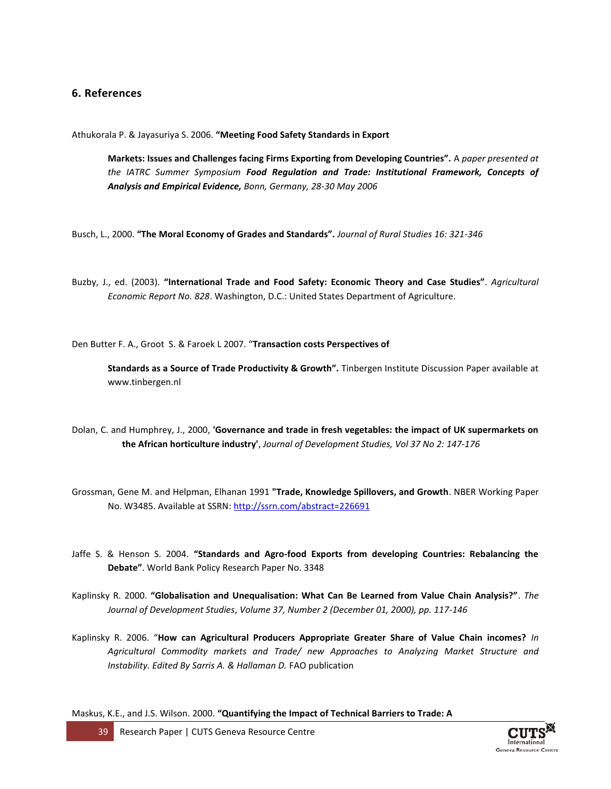## <span id="page-38-0"></span>**6. References**

Athukorala P. & Jayasuriya S. 2006. **"Meeting Food Safety Standards in Export** 

**Markets: Issues and Challenges facing Firms Exporting from Developing Countries".** A *paper presented at the IATRC Summer Symposium Food Regulation and Trade: Institutional Framework, Concepts of Analysis and Empirical Evidence, Bonn, Germany, 28-30 May 2006*

Busch, L., 2000. **"The Moral Economy of Grades and Standards".** *Journal of Rural Studies 16: 321-346*

Buzby, J., ed. (2003). **"International Trade and Food Safety: Economic Theory and Case Studies"**. *Agricultural Economic Report No. 828*. Washington, D.C.: United States Department of Agriculture.

Den Butter F. A., Groot S. & Faroek L 2007. "**Transaction costs Perspectives of** 

**Standards as a Source of Trade Productivity & Growth".** Tinbergen Institute Discussion Paper available at www.tinbergen.nl

Dolan, C. and Humphrey, J., 2000, **'Governance and trade in fresh vegetables: the impact of UK supermarkets on the African horticulture industry'**, *Journal of Development Studies, Vol 37 No 2: 147-176*

Grossman, Gene M. and Helpman, Elhanan 1991 **"Trade, Knowledge Spillovers, and Growth**. NBER Working Paper No. W3485. Available at SSRN:<http://ssrn.com/abstract=226691>

- Jaffe S. & Henson S. 2004. **"Standards and Agro-food Exports from developing Countries: Rebalancing the Debate"**. World Bank Policy Research Paper No. 3348
- Kaplinsky R. 2000. **"Globalisation and Unequalisation: What Can Be Learned from Value Chain Analysis?"**. *The Journal of Development Studies*, *Volume 37, Number 2 (December 01, 2000), pp. 117-146*
- Kaplinsky R. 2006. "**How can Agricultural Producers Appropriate Greater Share of Value Chain incomes?** *In Agricultural Commodity markets and Trade/ new Approaches to Analyzing Market Structure and Instability. Edited By Sarris A. & Hallaman D.* FAO publication

Maskus, K.E., and J.S. Wilson. 2000. **"Quantifying the Impact of Technical Barriers to Trade: A** 

![](_page_38_Picture_14.jpeg)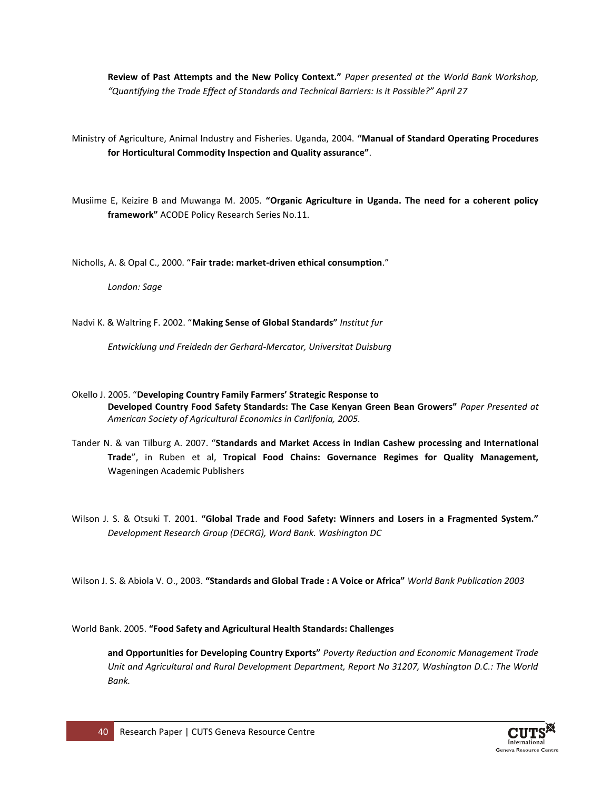**Review of Past Attempts and the New Policy Context."** *Paper presented at the World Bank Workshop, "Quantifying the Trade Effect of Standards and Technical Barriers: Is it Possible?" April 27*

Ministry of Agriculture, Animal Industry and Fisheries. Uganda, 2004. **"Manual of Standard Operating Procedures for Horticultural Commodity Inspection and Quality assurance"**.

Musiime E, Keizire B and Muwanga M. 2005. **"Organic Agriculture in Uganda. The need for a coherent policy framework"** ACODE Policy Research Series No.11.

Nicholls, A. & Opal C., 2000. "**Fair trade: market-driven ethical consumption**."

*London: Sage*

Nadvi K. & Waltring F. 2002. "**Making Sense of Global Standards"** *Institut fur* 

*Entwicklung und Freidedn der Gerhard-Mercator, Universitat Duisburg*

- Okello J. 2005. "**Developing Country Family Farmers' Strategic Response to Developed Country Food Safety Standards: The Case Kenyan Green Bean Growers"** *Paper Presented at American Society of Agricultural Economics in Carlifonia, 2005.*
- Tander N. & van Tilburg A. 2007. "**Standards and Market Access in Indian Cashew processing and International Trade**", in Ruben et al, **Tropical Food Chains: Governance Regimes for Quality Management,**  Wageningen Academic Publishers
- Wilson J. S. & Otsuki T. 2001. **"Global Trade and Food Safety: Winners and Losers in a Fragmented System."** *Development Research Group (DECRG), Word Bank. Washington DC*

Wilson J. S. & Abiola V. O., 2003. **"Standards and Global Trade : A Voice or Africa"** *World Bank Publication 2003*

World Bank. 2005. **"Food Safety and Agricultural Health Standards: Challenges** 

**and Opportunities for Developing Country Exports"** *Poverty Reduction and Economic Management Trade Unit and Agricultural and Rural Development Department, Report No 31207, Washington D.C.: The World Bank.*

![](_page_39_Picture_14.jpeg)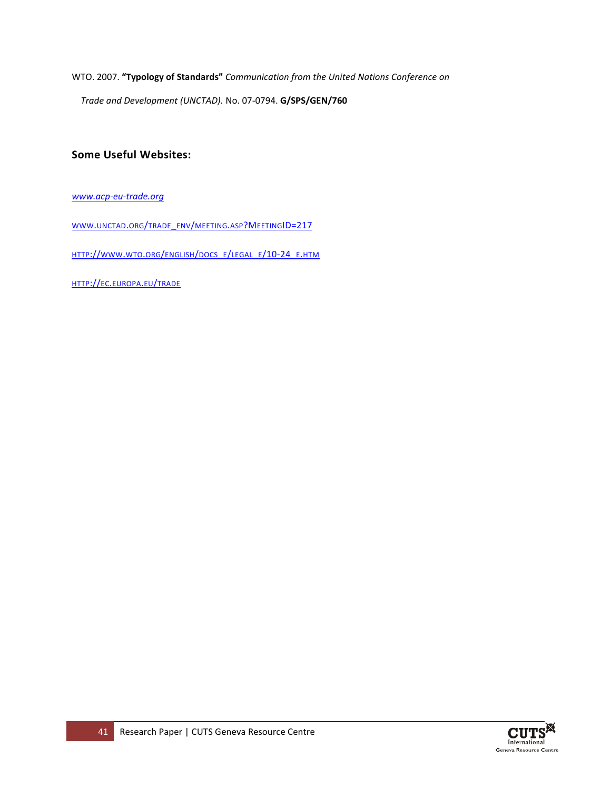WTO. 2007. **"Typology of Standards"** *Communication from the United Nations Conference on* 

*Trade and Development (UNCTAD).* No. 07-0794. **G/SPS/GEN/760** 

## **Some Useful Websites:**

*[www.acp-eu-trade.org](http://www.acp-eu-trade.org/)*

WWW.UNCTAD.ORG/TRADE\_ENV/MEETING.ASP?MEETING[ID=217](http://www.unctad.org/trade_env/meeting.asp?MeetingID=217)

HTTP://WWW.WTO.ORG/ENGLISH/DOCS\_E/LEGAL\_E[/10-24\\_](http://www.wto.org/english/docs_e/legal_e/10-24_e.htm)E.HTM

HTTP://EC.[EUROPA](http://ec.europa.eu/trade).EU/TRADE

![](_page_40_Picture_7.jpeg)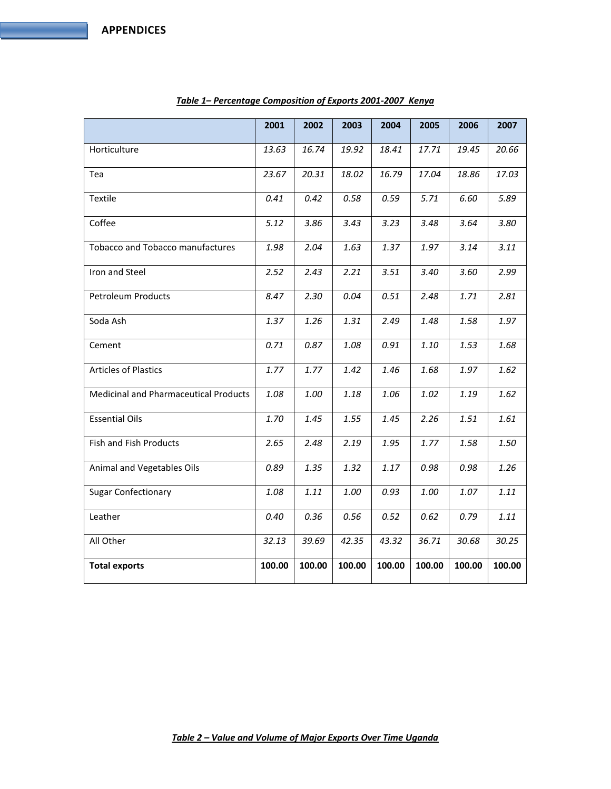|                                              | 2001   | 2002   | 2003   | 2004   | 2005   | 2006   | 2007   |
|----------------------------------------------|--------|--------|--------|--------|--------|--------|--------|
| Horticulture                                 | 13.63  | 16.74  | 19.92  | 18.41  | 17.71  | 19.45  | 20.66  |
| Tea                                          | 23.67  | 20.31  | 18.02  | 16.79  | 17.04  | 18.86  | 17.03  |
| Textile                                      | 0.41   | 0.42   | 0.58   | 0.59   | 5.71   | 6.60   | 5.89   |
| Coffee                                       | 5.12   | 3.86   | 3.43   | 3.23   | 3.48   | 3.64   | 3.80   |
| <b>Tobacco and Tobacco manufactures</b>      | 1.98   | 2.04   | 1.63   | 1.37   | 1.97   | 3.14   | 3.11   |
| Iron and Steel                               | 2.52   | 2.43   | 2.21   | 3.51   | 3.40   | 3.60   | 2.99   |
| <b>Petroleum Products</b>                    | 8.47   | 2.30   | 0.04   | 0.51   | 2.48   | 1.71   | 2.81   |
| Soda Ash                                     | 1.37   | 1.26   | 1.31   | 2.49   | 1.48   | 1.58   | 1.97   |
| Cement                                       | 0.71   | 0.87   | 1.08   | 0.91   | 1.10   | 1.53   | 1.68   |
| <b>Articles of Plastics</b>                  | 1.77   | 1.77   | 1.42   | 1.46   | 1.68   | 1.97   | 1.62   |
| <b>Medicinal and Pharmaceutical Products</b> | 1.08   | 1.00   | 1.18   | 1.06   | 1.02   | 1.19   | 1.62   |
| <b>Essential Oils</b>                        | 1.70   | 1.45   | 1.55   | 1.45   | 2.26   | 1.51   | 1.61   |
| Fish and Fish Products                       | 2.65   | 2.48   | 2.19   | 1.95   | 1.77   | 1.58   | 1.50   |
| Animal and Vegetables Oils                   | 0.89   | 1.35   | 1.32   | 1.17   | 0.98   | 0.98   | 1.26   |
| <b>Sugar Confectionary</b>                   | 1.08   | 1.11   | 1.00   | 0.93   | 1.00   | 1.07   | 1.11   |
| Leather                                      | 0.40   | 0.36   | 0.56   | 0.52   | 0.62   | 0.79   | 1.11   |
| All Other                                    | 32.13  | 39.69  | 42.35  | 43.32  | 36.71  | 30.68  | 30.25  |
| <b>Total exports</b>                         | 100.00 | 100.00 | 100.00 | 100.00 | 100.00 | 100.00 | 100.00 |

## *Table 1– Percentage Composition of Exports 2001-2007 Kenya*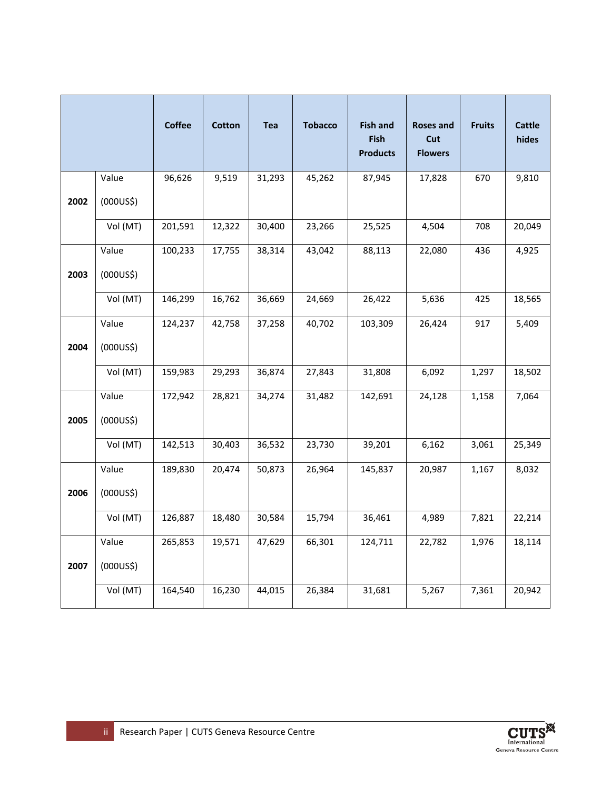|      |                    | <b>Coffee</b> | <b>Cotton</b> | <b>Tea</b> | <b>Tobacco</b> | <b>Fish and</b><br><b>Fish</b><br><b>Products</b> | <b>Roses and</b><br>Cut<br><b>Flowers</b> | <b>Fruits</b> | <b>Cattle</b><br>hides |
|------|--------------------|---------------|---------------|------------|----------------|---------------------------------------------------|-------------------------------------------|---------------|------------------------|
| 2002 | Value<br>(000US\$) | 96,626        | 9,519         | 31,293     | 45,262         | 87,945                                            | 17,828                                    | 670           | 9,810                  |
|      | Vol (MT)           | 201,591       | 12,322        | 30,400     | 23,266         | 25,525                                            | 4,504                                     | 708           | 20,049                 |
|      | Value              | 100,233       | 17,755        | 38,314     | 43,042         | 88,113                                            | 22,080                                    | 436           | 4,925                  |
| 2003 | (000US\$)          |               |               |            |                |                                                   |                                           |               |                        |
|      | Vol (MT)           | 146,299       | 16,762        | 36,669     | 24,669         | 26,422                                            | 5,636                                     | 425           | 18,565                 |
|      | Value              | 124,237       | 42,758        | 37,258     | 40,702         | 103,309                                           | 26,424                                    | 917           | 5,409                  |
| 2004 | (000US\$)          |               |               |            |                |                                                   |                                           |               |                        |
|      | Vol (MT)           | 159,983       | 29,293        | 36,874     | 27,843         | 31,808                                            | 6,092                                     | 1,297         | 18,502                 |
|      | Value              | 172,942       | 28,821        | 34,274     | 31,482         | 142,691                                           | 24,128                                    | 1,158         | 7,064                  |
| 2005 | (000US\$)          |               |               |            |                |                                                   |                                           |               |                        |
|      | Vol (MT)           | 142,513       | 30,403        | 36,532     | 23,730         | 39,201                                            | 6,162                                     | 3,061         | 25,349                 |
|      | Value              | 189,830       | 20,474        | 50,873     | 26,964         | 145,837                                           | 20,987                                    | 1,167         | 8,032                  |
| 2006 | (000US\$)          |               |               |            |                |                                                   |                                           |               |                        |
|      | Vol (MT)           | 126,887       | 18,480        | 30,584     | 15,794         | 36,461                                            | 4,989                                     | 7,821         | 22,214                 |
|      | Value              | 265,853       | 19,571        | 47,629     | 66,301         | 124,711                                           | 22,782                                    | 1,976         | 18,114                 |
| 2007 | (000US\$)          |               |               |            |                |                                                   |                                           |               |                        |
|      | Vol (MT)           | 164,540       | 16,230        | 44,015     | 26,384         | 31,681                                            | 5,267                                     | 7,361         | 20,942                 |

![](_page_42_Picture_1.jpeg)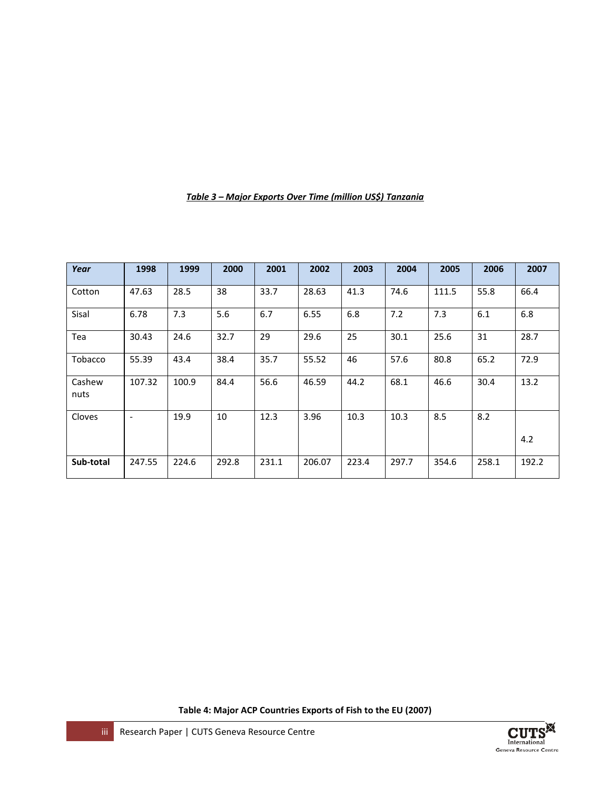| Year           | 1998                     | 1999  | 2000  | 2001  | 2002   | 2003  | 2004  | 2005  | 2006  | 2007  |
|----------------|--------------------------|-------|-------|-------|--------|-------|-------|-------|-------|-------|
| Cotton         | 47.63                    | 28.5  | 38    | 33.7  | 28.63  | 41.3  | 74.6  | 111.5 | 55.8  | 66.4  |
| Sisal          | 6.78                     | 7.3   | 5.6   | 6.7   | 6.55   | 6.8   | 7.2   | 7.3   | 6.1   | 6.8   |
| Tea            | 30.43                    | 24.6  | 32.7  | 29    | 29.6   | 25    | 30.1  | 25.6  | 31    | 28.7  |
| Tobacco        | 55.39                    | 43.4  | 38.4  | 35.7  | 55.52  | 46    | 57.6  | 80.8  | 65.2  | 72.9  |
| Cashew<br>nuts | 107.32                   | 100.9 | 84.4  | 56.6  | 46.59  | 44.2  | 68.1  | 46.6  | 30.4  | 13.2  |
| Cloves         | $\overline{\phantom{a}}$ | 19.9  | 10    | 12.3  | 3.96   | 10.3  | 10.3  | 8.5   | 8.2   |       |
|                |                          |       |       |       |        |       |       |       |       | 4.2   |
| Sub-total      | 247.55                   | 224.6 | 292.8 | 231.1 | 206.07 | 223.4 | 297.7 | 354.6 | 258.1 | 192.2 |

## *Table 3 – Major Exports Over Time (million US\$) Tanzania*

**Table 4: Major ACP Countries Exports of Fish to the EU (2007)**

![](_page_43_Picture_3.jpeg)